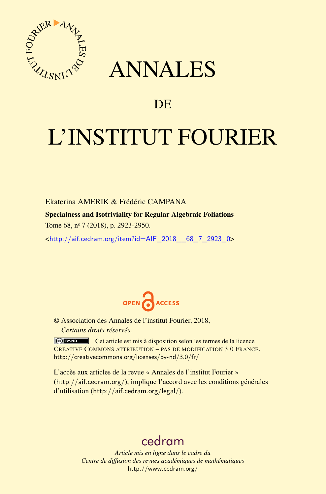

## ANNALES

### **DE**

# L'INSTITUT FOURIER

Ekaterina AMERIK & Frédéric CAMPANA

Specialness and Isotriviality for Regular Algebraic Foliations

Tome 68, nº 7 (2018), p. 2923-2950.

<[http://aif.cedram.org/item?id=AIF\\_2018\\_\\_68\\_7\\_2923\\_0](http://aif.cedram.org/item?id=AIF_2018__68_7_2923_0)>



© Association des Annales de l'institut Fourier, 2018, *Certains droits réservés.*

Cet article est mis à disposition selon les termes de la licence CREATIVE COMMONS ATTRIBUTION – PAS DE MODIFICATION 3.0 FRANCE. <http://creativecommons.org/licenses/by-nd/3.0/fr/>

L'accès aux articles de la revue « Annales de l'institut Fourier » (<http://aif.cedram.org/>), implique l'accord avec les conditions générales d'utilisation (<http://aif.cedram.org/legal/>).

## [cedram](http://www.cedram.org/)

*Article mis en ligne dans le cadre du Centre de diffusion des revues académiques de mathématiques* <http://www.cedram.org/>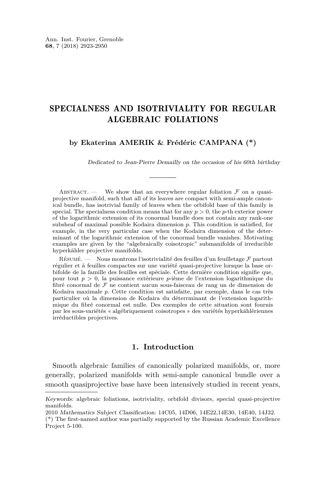#### SPECIALNESS AND ISOTRIVIALITY FOR REGULAR ALGEBRAIC FOLIATIONS

**by Ekaterina AMERIK & Frédéric CAMPANA (\*)**

Dedicated to Jean-Pierre Demailly on the occasion of his 60th birthday

ABSTRACT. — We show that an everywhere regular foliation  $\mathcal F$  on a quasiprojective manifold, such that all of its leaves are compact with semi-ample canonical bundle, has isotrivial family of leaves when the orbifold base of this family is special. The specialness condition means that for any  $p > 0$ , the *p*-th exterior power of the logarithmic extension of its conormal bundle does not contain any rank-one subsheaf of maximal possible Kodaira dimension *p*. This condition is satisfied, for example, in the very particular case when the Kodaira dimension of the determinant of the logarithmic extension of the conormal bundle vanishes. Motivating examples are given by the "algebraically coisotropic" submanifolds of irreducible hyperkähler projective manifolds.

RÉSUMÉ. — Nous montrons l'isotrivialité des feuilles d'un feuilletage  $\mathcal F$  partout régulier et à feuilles compactes sur une variété quasi-projective lorsque la base orbifolde de la famille des feuilles est spéciale. Cette dernière condition signifie que, pour tout *p >* 0, la puissance extérieure *p*-ième de l'extension logarithmique du fibré conormal de F ne contient aucun sous-faisceau de rang un de dimension de Kodaira maximale *p*. Cette condition est satisfaite, par exemple, dans le cas très particulier où la dimension de Kodaira du déterrminant de l'extension logarithmique du fibré conormal est nulle. Des exemples de cette situation sont fournis par les sous-variétés « algébriquement coisotropes » des variétés hyperkählériennes irréductibles projectives.

#### **1. Introduction**

Smooth algebraic families of canonically polarized manifolds, or, more generally, polarized manifolds with semi-ample canonical bundle over a smooth quasiprojective base have been intensively studied in recent years,

Keywords: algebraic foliations, isotriviality, orbifold divisors, special quasi-projective manifolds.

<sup>2010</sup> Mathematics Subject Classification: 14C05, 14D06, 14E22,14E30, 14E40, 14J32.

<sup>(\*)</sup> The first-named author was partially supported by the Russian Academic Excellence Project 5-100.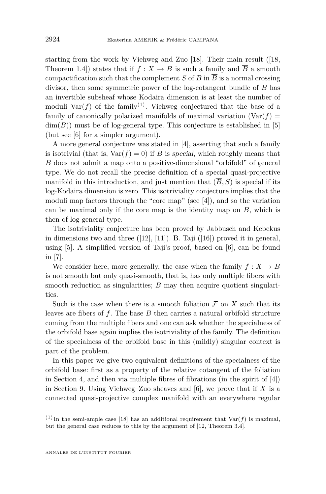starting from the work by Viehweg and Zuo [\[18\]](#page-27-0). Their main result ([\[18,](#page-27-0) Theorem 1.4) states that if  $f: X \to B$  is such a family and  $\overline{B}$  a smooth compactification such that the complement *S* of *B* in  $\overline{B}$  is a normal crossing divisor, then some symmetric power of the log-cotangent bundle of *B* has an invertible subsheaf whose Kodaira dimension is at least the number of moduli  $\text{Var}(f)$  of the family<sup>(1)</sup>. Viehweg conjectured that the base of a family of canonically polarized manifolds of maximal variation  $(\text{Var}(f))$  $\dim(B)$ ) must be of log-general type. This conjecture is established in [\[5\]](#page-27-1) (but see [\[6\]](#page-27-2) for a simpler argument).

A more general conjecture was stated in [\[4\]](#page-27-3), asserting that such a family is isotrivial (that is,  $Var(f) = 0$ ) if *B* is special, which roughly means that *B* does not admit a map onto a positive-dimensional "orbifold" of general type. We do not recall the precise definition of a special quasi-projective manifold in this introduction, and just mention that  $(B, S)$  is special if its log-Kodaira dimension is zero. This isotriviality conjecture implies that the moduli map factors through the "core map" (see [\[4\]](#page-27-3)), and so the variation can be maximal only if the core map is the identity map on *B*, which is then of log-general type.

The isotriviality conjecture has been proved by Jabbusch and Kebekus in dimensions two and three  $([12], [11])$  $([12], [11])$  $([12], [11])$  $([12], [11])$  $([12], [11])$ . B. Taji  $([16])$  $([16])$  $([16])$  proved it in general, using [\[5\]](#page-27-1). A simplified version of Taji's proof, based on [\[6\]](#page-27-2), can be found in [\[7\]](#page-27-7).

We consider here, more generally, the case when the family  $f: X \to B$ is not smooth but only quasi-smooth, that is, has only multiple fibers with smooth reduction as singularities; *B* may then acquire quotient singularities.

Such is the case when there is a smooth foliation  $\mathcal F$  on  $X$  such that its leaves are fibers of *f*. The base *B* then carries a natural orbifold structure coming from the multiple fibers and one can ask whether the specialness of the orbifold base again implies the isotriviality of the family. The definition of the specialness of the orbifold base in this (mildly) singular context is part of the problem.

In this paper we give two equivalent definitions of the specialness of the orbifold base: first as a property of the relative cotangent of the foliation in Section [4,](#page-6-0) and then via multiple fibres of fibrations (in the spirit of [\[4\]](#page-27-3)) in Section [9.](#page-11-0) Using Viehweg–Zuo sheaves and [\[6\]](#page-27-2), we prove that if *X* is a connected quasi-projective complex manifold with an everywhere regular

<sup>&</sup>lt;sup>(1)</sup> In the semi-ample case [\[18\]](#page-27-0) has an additional requirement that  $Var(f)$  is maximal, but the general case reduces to this by the argument of [\[12,](#page-27-4) Theorem 3.4].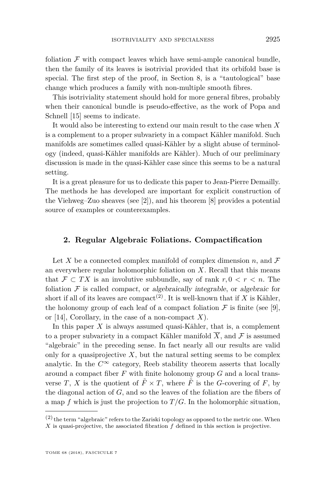foliation  $\mathcal F$  with compact leaves which have semi-ample canonical bundle, then the family of its leaves is isotrivial provided that its orbifold base is special. The first step of the proof, in Section [8,](#page-10-0) is a "tautological" base change which produces a family with non-multiple smooth fibres.

This isotriviality statement should hold for more general fibres, probably when their canonical bundle is pseudo-effective, as the work of Popa and Schnell [\[15\]](#page-27-8) seems to indicate.

It would also be interesting to extend our main result to the case when *X* is a complement to a proper subvariety in a compact Kähler manifold. Such manifolds are sometimes called quasi-Kähler by a slight abuse of terminology (indeed, quasi-Kähler manifolds are Kähler). Much of our preliminary discussion is made in the quasi-Kähler case since this seems to be a natural setting.

It is a great pleasure for us to dedicate this paper to Jean-Pierre Demailly. The methods he has developed are important for explicit construction of the Viehweg–Zuo sheaves (see [\[2\]](#page-27-9)), and his theorem [\[8\]](#page-27-10) provides a potential source of examples or counterexamples.

#### **2. Regular Algebraic Foliations. Compactification**

Let X be a connected complex manifold of complex dimension  $n$ , and  $\mathcal F$ an everywhere regular holomorphic foliation on *X*. Recall that this means that  $\mathcal{F} \subset TX$  is an involutive subbundle, say of rank  $r, 0 \leq r \leq n$ . The foliation  $\mathcal F$  is called *compact*, or algebraically integrable, or algebraic for short if all of its leaves are compact<sup>(2)</sup>. It is well-known that if *X* is Kähler, the holonomy group of each leaf of a compact foliation  $\mathcal F$  is finite (see [\[9\]](#page-27-11), or [\[14\]](#page-27-12), Corollary, in the case of a non-compact *X*).

In this paper *X* is always assumed quasi-Kähler, that is, a complement to a proper subvariety in a compact Kähler manifold  $\overline{X}$ , and  $\overline{F}$  is assumed "algebraic" in the preceding sense. In fact nearly all our results are valid only for a quasiprojective  $X$ , but the natural setting seems to be complex analytic. In the  $C^{\infty}$  category, Reeb stability theorem asserts that locally around a compact fiber *F* with finite holonomy group *G* and a local transverse *T*, *X* is the quotient of  $\tilde{F} \times T$ , where  $\tilde{F}$  is the *G*-covering of *F*, by the diagonal action of *G*, and so the leaves of the foliation are the fibers of a map  $f$  which is just the projection to  $T/G$ . In the holomorphic situation,

 $(2)$  the term "algebraic" refers to the Zariski topology as opposed to the metric one. When *X* is quasi-projective, the associated fibration *f* defined in this section is projective.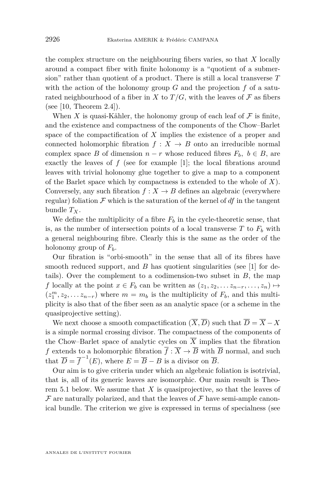the complex structure on the neighbouring fibers varies, so that *X* locally around a compact fiber with finite holonomy is a "quotient of a submersion" rather than quotient of a product. There is still a local transverse *T* with the action of the holonomy group  $G$  and the projection  $f$  of a saturated neighbourhood of a fiber in *X* to  $T/G$ , with the leaves of  $\mathcal F$  as fibers (see [\[10,](#page-27-13) Theorem 2.4]).

When *X* is quasi-Kähler, the holonomy group of each leaf of  $\mathcal F$  is finite, and the existence and compactness of the components of the Chow–Barlet space of the compactification of *X* implies the existence of a proper and connected holomorphic fibration  $f: X \to B$  onto an irreducible normal complex space *B* of dimension  $n - r$  whose reduced fibres  $F_b$ ,  $b \in B$ , are exactly the leaves of  $f$  (see for example [\[1\]](#page-27-14); the local fibrations around leaves with trivial holonomy glue together to give a map to a component of the Barlet space which by compactness is extended to the whole of *X*). Conversely, any such fibration  $f: X \to B$  defines an algebraic (everywhere regular) foliation  $\mathcal F$  which is the saturation of the kernel of  $df$  in the tangent bundle *TX*.

We define the multiplicity of a fibre  $F_b$  in the cycle-theoretic sense, that is, as the number of intersection points of a local transverse  $T$  to  $F_b$  with a general neighbouring fibre. Clearly this is the same as the order of the holonomy group of *Fb*.

Our fibration is "orbi-smooth" in the sense that all of its fibres have smooth reduced support, and *B* has quotient singularities (see [\[1\]](#page-27-14) for details). Over the complement to a codimension-two subset in *B*, the map *f* locally at the point  $x \in F_b$  can be written as  $(z_1, z_2, \ldots z_{n-r}, \ldots, z_n) \mapsto$  $(z_1^m, z_2, \ldots z_{n-r})$  where  $m = m_b$  is the multiplicity of  $F_b$ , and this multiplicity is also that of the fiber seen as an analytic space (or a scheme in the quasiprojective setting).

We next choose a smooth compactification  $(\overline{X}, \overline{D})$  such that  $\overline{D} = \overline{X} - X$ is a simple normal crossing divisor. The compactness of the components of the Chow–Barlet space of analytic cycles on  $\overline{X}$  implies that the fibration *f* extends to a holomorphic fibration  $\overline{f}$  :  $\overline{X} \to \overline{B}$  with  $\overline{B}$  normal, and such that  $\overline{D} = \overline{f}^{-1}(E)$ , where  $E = \overline{B} - B$  is a divisor on  $\overline{B}$ .

Our aim is to give criteria under which an algebraic foliation is isotrivial, that is, all of its generic leaves are isomorphic. Our main result is Theorem [5.1](#page-7-0) below. We assume that *X* is quasiprojective, so that the leaves of  $\mathcal F$  are naturally polarized, and that the leaves of  $\mathcal F$  have semi-ample canonical bundle. The criterion we give is expressed in terms of specialness (see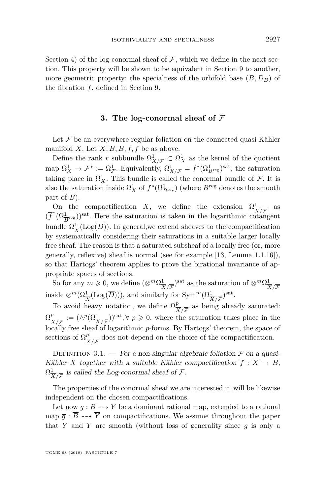Section [4\)](#page-6-0) of the log-conormal sheaf of  $\mathcal F$ , which we define in the next section. This property will be shown to be equivalent in Section [9](#page-11-0) to another, more geometric property: the specialness of the orbifold base (*B, DB*) of the fibration *f*, defined in Section [9.](#page-11-0)

#### **3. The log-conormal sheaf of** F

<span id="page-5-0"></span>Let  $\mathcal F$  be an everywhere regular foliation on the connected quasi-Kähler manifold *X*. Let  $\overline{X}$ , *B*,  $\overline{B}$ ,  $f$ ,  $\overline{f}$  be as above.

Define the rank *r* subbundle  $\Omega^1_{X/\mathcal{F}} \subset \Omega^1_X$  as the kernel of the quotient map  $\Omega^1_X \to \mathcal{F}^* := \Omega^1_{\mathcal{F}}$ . Equivalently,  $\Omega^1_{X/\mathcal{F}} = f^*(\Omega^1_{B^{\text{reg}}})^{\text{sat}}$ , the saturation taking place in  $\Omega^1_X$ . This bundle is called the conormal bundle of  $\mathcal{F}$ . It is also the saturation inside  $\Omega_X^1$  of  $f^*(\Omega_{B^{\text{reg}}}^1)$  (where  $B^{\text{reg}}$  denotes the smooth part of *B*).

On the compactification  $\overline{X}$ , we define the extension  $\Omega^1$ *X/*F as  $(\overline{f}^*(\Omega^1_{\overline{B}^{\text{reg}}}))^{\text{sat}}$ . Here the saturation is taken in the logarithmic cotangent bundle  $\Omega_{\overline{1}}^1$  $\frac{1}{X}$ (Log(*D*)). In general, we extend sheaves to the compactification by systematically considering their saturations in a suitable larger locally free sheaf. The reason is that a saturated subsheaf of a locally free (or, more generally, reflexive) sheaf is normal (see for example [\[13,](#page-27-15) Lemma 1.1.16]), so that Hartogs' theorem applies to prove the birational invariance of appropriate spaces of sections.

So for any  $m \geqslant 0$ , we define  $(\otimes^m \Omega^1)$  $\frac{1}{X/\overline{\mathcal{F}}}$ <sup>Sat</sup> as the saturation of  $\otimes^m \Omega^1_{\overline{\mathfrak{Z}}}$ *X/*F inside  $\otimes^m(\Omega^1_{\overline{X}}(\text{Log}(\overline{D}))),$  and similarly for  $\text{Sym}^m(\Omega^1_{\overline{X}/\overline{\mathcal{F}}})^{\text{sat}}$ .

To avoid heavy notation, we define  $\Omega^p_{\overline{p}}$  $\frac{p}{X/\overline{F}}$  as being already saturated:  $\Omega^p_{\overline{X}}$  $\frac{p}{X/\overline{F}} := (\wedge^p (\Omega^1_{\overline{X}/\overline{F}}))^{\text{sat}}, \forall p \geqslant 0, \text{ where the saturation takes place in the }$ locally free sheaf of logarithmic *p*-forms. By Hartogs' theorem, the space of sections of  $\Omega_{\overline{3}}^p$  $\frac{p}{X/\mathcal{F}}$  does not depend on the choice of the compactification.

DEFINITION 3.1. — For a non-singular algebraic foliation  $\mathcal F$  on a quasi-Kähler *X* together with a suitable Kähler compactification  $\overline{f}$  :  $\overline{X} \rightarrow \overline{B}$ ,  $\Omega^1_{\overline{\mathcal{X}}}$  $\frac{1}{X/\overline{F}}$  is called the Log-conormal sheaf of  $\mathcal{F}.$ 

The properties of the conormal sheaf we are interested in will be likewise independent on the chosen compactifications.

Let now  $g : B \dashrightarrow Y$  be a dominant rational map, extended to a rational map  $\overline{q}$  :  $\overline{B}$  --+  $\overline{Y}$  on compactifications. We assume throughout the paper that *Y* and  $\overline{Y}$  are smooth (without loss of generality since *g* is only a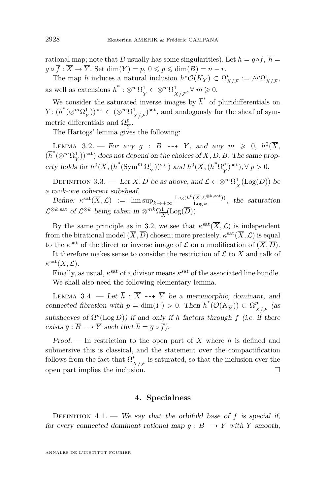rational map; note that *B* usually has some singularities). Let  $h = g \circ f$ ,  $\overline{h} =$  $\overline{q} \circ \overline{f} : \overline{X} \to \overline{Y}$ . Set dim(*Y*) = *p*,  $0 \leqslant p \leqslant \dim(B) = n - r$ .

The map *h* induces a natural inclusion  $h^*O(K_Y) \subset \Omega^p$  $P_{X/\mathcal{F}}^p := \wedge^p \Omega^1_{X/\mathcal{F}}$ as well as extensions  $\overline{h}^* : \otimes^m \Omega^1_{\overline{v}}$  $\frac{1}{Y} \subset \otimes^m \Omega^1_{\overline{\lambda}}$  $\frac{1}{X}{\overline{\mathcal{F}}}, \forall m \geqslant 0.$ 

We consider the saturated inverse images by  $\overline{h}^*$  of pluridifferentials on *Y*:  $(\overline{h}^*(\otimes^m Ω_{\overline{v}}^1))$  $\frac{1}{Y}$ ))<sup>sat</sup> ⊂ (⊗<sup>*m*</sup>Ω $\frac{1}{\lambda}$ </sup>  $\frac{1}{X}{\sqrt{\mathcal{F}}}$ <sup>sat</sup>, and analogously for the sheaf of symmetric differentials and  $\Omega_{\overline{Y}}^p$ .

*Y* The Hartogs' lemma gives the following:

<span id="page-6-1"></span>LEMMA 3.2. – For any  $g : B \dashrightarrow Y$ , and any  $m \geq 0$ ,  $h^0(\overline{X})$ ,  $(\overline{h}^*(\otimes^m \Omega^1_{\overline{Y}}))^{\text{sat}})$  does not depend on the choices of  $\overline{X}, \overline{D}, \overline{B}$ . The same prop-*Y* erty holds for  $h^0(\overline{X}, (\overline{h}^*({\rm Sym}^m \Omega^1_{\overline{x}}$  $\frac{1}{Y}$ ))<sup>sat</sup>) and  $h^0(\overline{X}, (\overline{h}^*\Omega_{\overline{Y}}^p))$  $\frac{p}{Y}$ <sup>sat</sup>),  $\forall p > 0$ .

DEFINITION 3.3. — Let  $\overline{X}, \overline{D}$  be as above, and  $\mathcal{L} \subset \otimes^m \Omega^1_{\overline{X}}$  $\frac{1}{X}$ (Log(*D*)) be a rank-one coherent subsheaf.

 $\text{Define: } \kappa^{\text{sat}}(\overline{X}, \mathcal{L}) \text{ := } \limsup_{k \to +\infty} \frac{\text{Log}(h^0(\overline{X}, \mathcal{L}^{\otimes k, \text{sat}}))}{\text{Log } k}$  $\frac{(X,Z^2+1)}{\log k}$ , the saturation  $\mathcal{L}^{\otimes k, \text{sat}}$  of  $\mathcal{L}^{\otimes k}$  being taken in  $\otimes^{mk} \Omega^1_{\overline{S}}$  $\frac{1}{X}$ (Log(*D*)).

By the same principle as in [3.2,](#page-6-1) we see that  $\kappa^{\text{sat}}(\overline{X}, \mathcal{L})$  is independent from the birational model  $(\overline{X}, \overline{D})$  chosen; more precisely,  $\kappa^{\text{sat}}(\overline{X}, \mathcal{L})$  is equal to the  $\kappa^{\text{sat}}$  of the direct or inverse image of  $\mathcal L$  on a modification of  $(\overline X, \overline D)$ .

It therefore makes sense to consider the restriction of  $\mathcal L$  to  $X$  and talk of  $\kappa^{\mathrm{sat}}(X,\mathcal{L}).$ 

Finally, as usual,  $\kappa^{\text{sat}}$  of a divisor means  $\kappa^{\text{sat}}$  of the associated line bundle. We shall also need the following elementary lemma.

<span id="page-6-2"></span>LEMMA 3.4. — Let  $\overline{h}$  :  $\overline{X}$  --+  $\overline{Y}$  be a meromorphic, dominant, and connected fibration with  $p = \dim(\overline{Y}) > 0$ . Then  $\overline{h}^*(\mathcal{O}(K_{\overline{Y}})) \subset \Omega_{\overline{X}}^p$  $\frac{p}{X/\mathcal{F}}$  (as subsheaves of  $\Omega^p(\text{Log } D)$ ) if and only if  $\overline{h}$  factors through  $\overline{f}$  (i.e. if there exists  $\overline{g}$  :  $\overline{B}$  --+  $\overline{Y}$  such that  $\overline{h} = \overline{g} \circ \overline{f}$ ).

Proof. — In restriction to the open part of *X* where *h* is defined and submersive this is classical, and the statement over the compactification follows from the fact that  $\Omega^p_{\overline{p}}$  $\frac{p}{X/\overline{F}}$  is saturated, so that the inclusion over the open part implies the inclusion.  $\Box$ 

#### **4. Specialness**

<span id="page-6-0"></span>DEFINITION  $4.1.$  We say that the orbifold base of f is special if, for every connected dominant rational map  $g : B \dashrightarrow Y$  with *Y* smooth,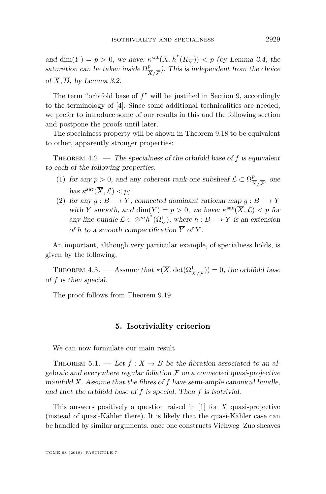and  $\dim(Y) = p > 0$ , we have:  $\kappa^{\text{sat}}(\overline{X}, \overline{h}^*(K_{\overline{Y}})) < p$  (by Lemma [3.4,](#page-6-2) the saturation can be taken inside  $\Omega^p_{\overline{p}}$  $\frac{p}{|X| \sqrt{\mathcal{F}}}$ ). This is independent from the choice of  $\overline{X}$ ,  $\overline{D}$ , by Lemma [3.2.](#page-6-1)

The term "orbifold base of *f*" will be justified in Section [9,](#page-11-0) accordingly to the terminology of [\[4\]](#page-27-3). Since some additional technicalities are needed, we prefer to introduce some of our results in this and the following section and postpone the proofs until later.

The specialness property will be shown in Theorem [9.18](#page-20-0) to be equivalent to other, apparently stronger properties:

<span id="page-7-1"></span>Theorem 4.2. — The specialness of the orbifold base of *f* is equivalent to each of the following properties:

- (1) for any  $p > 0$ , and any coherent rank-one subsheaf  $\mathcal{L} \subset \Omega^p_{\overline{p}}$  $\frac{p}{X/\overline{F}}$ , one has  $\kappa^{\text{sat}}(\overline{X}, \mathcal{L}) < p$ ;
- (2) for any  $g : B \dashrightarrow Y$ , connected dominant rational map  $g : B \dashrightarrow Y$ with *Y* smooth, and dim(*Y*) =  $p > 0$ , we have:  $\kappa^{\text{sat}}(\overline{X}, \mathcal{L}) < p$  for any line bundle  $\mathcal{L} \subset \otimes^m \overline{h}^*(\Omega_{\overline{Y}}^1)$ , where  $\overline{h} : \overline{B} \dashrightarrow \overline{Y}$  is an extension of *h* to a smooth compactification  $\overline{Y}$  of *Y*.

An important, although very particular example, of specialness holds, is given by the following.

<span id="page-7-2"></span>THEOREM 4.3. — Assume that  $\kappa(\overline{X}, \det(\Omega^1_{\overline{X}/\overline{\mathcal{F}}})) = 0$ , the orbifold base of *f* is then special.

The proof follows from Theorem [9.19.](#page-20-1)

#### **5. Isotriviality criterion**

We can now formulate our main result.

<span id="page-7-0"></span>THEOREM 5.1. — Let  $f: X \to B$  be the fibration associated to an algebraic and everywhere regular foliation  $\mathcal F$  on a connected quasi-projective manifold *X*. Assume that the fibres of *f* have semi-ample canonical bundle, and that the orbifold base of *f* is special. Then *f* is isotrivial.

This answers positively a question raised in [\[1\]](#page-27-14) for *X* quasi-projective (instead of quasi-Kähler there). It is likely that the quasi-Kähler case can be handled by similar arguments, once one constructs Viehweg–Zuo sheaves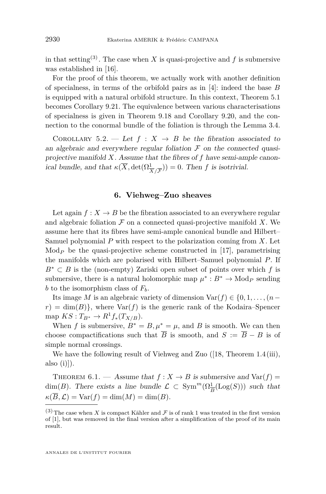in that setting<sup>(3)</sup>. The case when *X* is quasi-projective and *f* is submersive was established in [\[16\]](#page-27-6).

For the proof of this theorem, we actually work with another definition of specialness, in terms of the orbifold pairs as in [\[4\]](#page-27-3): indeed the base *B* is equipped with a natural orbifold structure. In this context, Theorem [5.1](#page-7-0) becomes Corollary [9.21.](#page-21-0) The equivalence between various characterisations of specialness is given in Theorem [9.18](#page-20-0) and Corollary [9.20,](#page-21-1) and the connection to the conormal bundle of the foliation is through the Lemma [3.4.](#page-6-2)

COROLLARY 5.2. — Let  $f: X \rightarrow B$  be the fibration associated to an algebraic and everywhere regular foliation  $\mathcal F$  on the connected quasiprojective manifold *X*. Assume that the fibres of *f* have semi-ample canonical bundle, and that  $\kappa(\overline{X}, \det(\Omega^1_{\overline{X}/\overline{F}})) = 0$ . Then *f* is isotrivial.

#### **6. Viehweg–Zuo sheaves**

<span id="page-8-1"></span>Let again  $f: X \to B$  be the fibration associated to an everywhere regular and algebraic foliation  $\mathcal F$  on a connected quasi-projective manifold  $X$ . We assume here that its fibres have semi-ample canonical bundle and Hilbert– Samuel polynomial *P* with respect to the polarization coming from *X*. Let Mod<sub>*P*</sub> be the quasi-projective scheme constructed in [\[17\]](#page-27-16), parametrising the manifolds which are polarised with Hilbert–Samuel polynomial *P*. If *B*<sup>∗</sup> ⊂ *B* is the (non-empty) Zariski open subset of points over which *f* is submersive, there is a natural holomorphic map  $\mu^* : B^* \to \text{Mod}_P$  sending *b* to the isomorphism class of  $F_b$ .

Its image *M* is an algebraic variety of dimension  $\text{Var}(f) \in \{0, 1, \ldots, (n-\alpha)\}$  $r$ ) = dim(*B*)}, where  $Var(f)$  is the generic rank of the Kodaira–Spencer  $\text{map } KS : T_{B^*} \to R^1 f_*(T_{X/B}).$ 

When *f* is submersive,  $B^* = B$ ,  $\mu^* = \mu$ , and *B* is smooth. We can then choose compactifications such that  $\overline{B}$  is smooth, and  $S := \overline{B} - B$  is of simple normal crossings.

We have the following result of Viehweg and Zuo ([\[18,](#page-27-0) Theorem 1.4 (iii), also  $(i)$ ).

<span id="page-8-0"></span>THEOREM 6.1. — Assume that  $f: X \to B$  is submersive and  $Var(f)$ dim(*B*). There exists a line bundle  $\mathcal{L} \subset \text{Sym}^m(\Omega_{\overline{B}}^1(\text{Log}(S)))$  such that  $\kappa(\overline{B}, \mathcal{L}) = \text{Var}(f) = \dim(M) = \dim(B).$ 

<sup>(3)</sup> The case when *X* is compact Kähler and  $\mathcal F$  is of rank 1 was treated in the first version of [\[1\]](#page-27-14), but was removed in the final version after a simplification of the proof of its main result.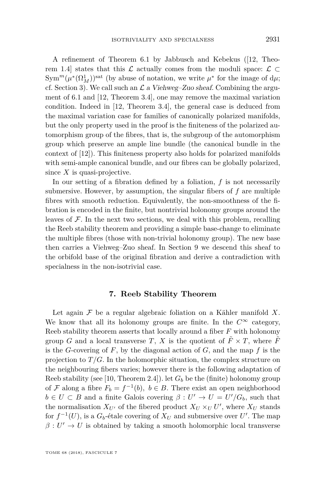A refinement of Theorem [6.1](#page-8-0) by Jabbusch and Kebekus ([\[12,](#page-27-4) Theorem 1.4] states that this  $\mathcal L$  actually comes from the moduli space:  $\mathcal L \subset$  $\text{Sym}^m(\mu^*(\Omega^1_M))^{\text{sat}}$  (by abuse of notation, we write  $\mu^*$  for the image of  $d\mu$ ; cf. Section [3\)](#page-5-0). We call such an  $\mathcal L$  a Viehweg–Zuo sheaf. Combining the argument of [6.1](#page-8-0) and [\[12,](#page-27-4) Theorem 3.4], one may remove the maximal variation condition. Indeed in [\[12,](#page-27-4) Theorem 3.4], the general case is deduced from the maximal variation case for families of canonically polarized manifolds, but the only property used in the proof is the finiteness of the polarized automorphism group of the fibres, that is, the subgroup of the automorphism group which preserve an ample line bundle (the canonical bundle in the context of [\[12\]](#page-27-4)). This finiteness property also holds for polarized manifolds with semi-ample canonical bundle, and our fibres can be globally polarized, since *X* is quasi-projective.

In our setting of a fibration defined by a foliation, *f* is not necessarily submersive. However, by assumption, the singular fibers of *f* are multiple fibres with smooth reduction. Equivalently, the non-smoothness of the fibration is encoded in the finite, but nontrivial holonomy groups around the leaves of  $\mathcal F$ . In the next two sections, we deal with this problem, recalling the Reeb stability theorem and providing a simple base-change to eliminate the multiple fibres (those with non-trivial holonomy group). The new base then carries a Viehweg–Zuo sheaf. In Section [9](#page-11-0) we descend this sheaf to the orbifold base of the original fibration and derive a contradiction with specialness in the non-isotrivial case.

#### **7. Reeb Stability Theorem**

<span id="page-9-0"></span>Let again  $\mathcal F$  be a regular algebraic foliation on a Kähler manifold  $X$ . We know that all its holonomy groups are finite. In the  $C^{\infty}$  category, Reeb stability theorem asserts that locally around a fiber *F* with holonomy group *G* and a local transverse *T*, *X* is the quotient of  $\tilde{F} \times T$ , where  $\tilde{F}$ is the *G*-covering of *F*, by the diagonal action of *G*, and the map *f* is the projection to  $T/G$ . In the holomorphic situation, the complex structure on the neighbouring fibers varies; however there is the following adaptation of Reeb stability (see [\[10,](#page-27-13) Theorem 2.4]). let  $G_b$  be the (finite) holonomy group of F along a fibre  $F_b = f^{-1}(b)$ ,  $b \in B$ . There exist an open neighborhood  $b \in U \subset B$  and a finite Galois covering  $\beta: U' \to U = U'/G_b$ , such that the normalisation  $X_{U'}$  of the fibered product  $X_U \times_U U'$ , where  $X_U$  stands for  $f^{-1}(U)$ , is a  $G_b$ -étale covering of  $X_U$  and submersive over  $U'$ . The map  $\beta: U' \to U$  is obtained by taking a smooth holomorphic local transverse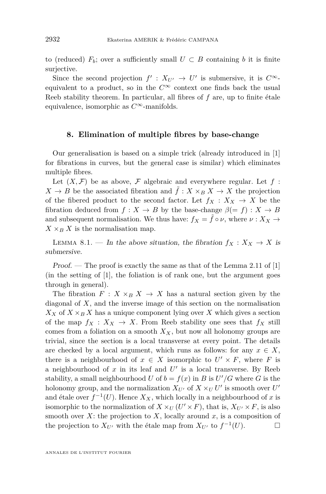to (reduced)  $F_b$ ; over a sufficiently small  $U \subset B$  containing *b* it is finite surjective.

Since the second projection  $f' : X_{U'} \to U'$  is submersive, it is  $C^{\infty}$ equivalent to a product, so in the  $C^{\infty}$  context one finds back the usual Reeb stability theorem. In particular, all fibres of *f* are, up to finite étale equivalence, isomorphic as *C*∞-manifolds.

#### <span id="page-10-0"></span>**8. Elimination of multiple fibres by base-change**

Our generalisation is based on a simple trick (already introduced in [\[1\]](#page-27-14) for fibrations in curves, but the general case is similar) which eliminates multiple fibres.

Let  $(X, \mathcal{F})$  be as above,  $\mathcal F$  algebraic and everywhere regular. Let  $f$ :  $X \to B$  be the associated fibration and  $\tilde{f}: X \times_B X \to X$  the projection of the fibered product to the second factor. Let  $f_X: X_X \to X$  be the fibration deduced from  $f: X \to B$  by the base-change  $\beta (= f): X \to B$ and subsequent normalisation. We thus have:  $f_X = \tilde{f} \circ \nu$ , where  $\nu : X_X \to$  $X \times_B X$  is the normalisation map.

LEMMA 8.1. — In the above situation, the fibration  $f_X: X_X \to X$  is submersive.

Proof. — The proof is exactly the same as that of the Lemma 2.11 of [\[1\]](#page-27-14) (in the setting of [\[1\]](#page-27-14), the foliation is of rank one, but the argument goes through in general).

The fibration  $F: X \times_B X \to X$  has a natural section given by the diagonal of *X*, and the inverse image of this section on the normalisation  $X_X$  of  $X \times_B X$  has a unique component lying over X which gives a section of the map  $f_X: X_X \to X$ . From Reeb stability one sees that  $f_X$  still comes from a foliation on a smooth  $X_X$ , but now all holonomy groups are trivial, since the section is a local transverse at every point. The details are checked by a local argument, which runs as follows: for any  $x \in X$ , there is a neighbourhood of  $x \in X$  isomorphic to  $U' \times F$ , where *F* is a neighbourhood of  $x$  in its leaf and  $U'$  is a local transverse. By Reeb stability, a small neighbourhood *U* of  $b = f(x)$  in *B* is  $U'/G$  where *G* is the holonomy group, and the normalization  $X_{U}$  of  $X \times_U U'$  is smooth over  $U'$ and étale over  $f^{-1}(U)$ . Hence  $X_X$ , which locally in a neighbourhood of x is isomorphic to the normalization of  $X \times_U (U' \times F)$ , that is,  $X_{U'} \times F$ , is also smooth over  $X$ : the projection to  $X$ , locally around  $x$ , is a composition of the projection to  $X_{U'}$  with the étale map from  $X_{U'}$  to  $f^{-1}(U)$ .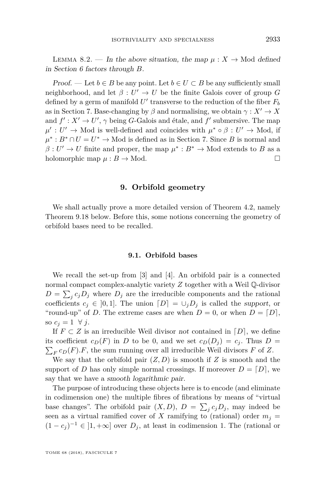<span id="page-11-1"></span>LEMMA 8.2. — In the above situation, the map  $\mu: X \to \mathbb{N}$  defined in Section [6](#page-8-1) factors through *B*.

Proof. — Let  $b \in B$  be any point. Let  $b \in U \subset B$  be any sufficiently small neighborhood, and let  $\beta: U' \to U$  be the finite Galois cover of group *G* defined by a germ of manifold  $U'$  transverse to the reduction of the fiber  $F_b$ as in Section [7.](#page-9-0) Base-changing by  $\beta$  and normalising, we obtain  $\gamma: X' \to X$ and  $f' : X' \to U'$ ,  $\gamma$  being *G*-Galois and étale, and  $f'$  submersive. The map  $\mu' : U' \to \text{Mod}$  is well-defined and coincides with  $\mu^* \circ \beta : U' \to \text{Mod}$ , if  $\mu^* : B^* \cap U = U^* \to \text{Mod}$  is defined as in Section [7.](#page-9-0) Since *B* is normal and  $\beta: U' \to U$  finite and proper, the map  $\mu^*: B^* \to \text{Mod}$  extends to *B* as a holomorphic map  $\mu : B \to \text{Mod}$ .

#### **9. Orbifold geometry**

<span id="page-11-0"></span>We shall actually prove a more detailed version of Theorem [4.2,](#page-7-1) namely Theorem [9.18](#page-20-0) below. Before this, some notions concerning the geometry of orbifold bases need to be recalled.

#### **9.1. Orbifold bases**

We recall the set-up from [\[3\]](#page-27-17) and [\[4\]](#page-27-3). An orbifold pair is a connected normal compact complex-analytic variety *Z* together with a Weil Q-divisor  $D = \sum_j c_j D_j$  where  $D_j$  are the irreducible components and the rational coefficients  $c_j \in [0,1]$ . The union  $[D] = \cup_j D_j$  is called the support, or "round-up" of *D*. The extreme cases are when  $D = 0$ , or when  $D = [D]$ , so  $c_i = 1 \ \forall j$ .

If  $F \subset Z$  is an irreducible Weil divisor not contained in  $[D]$ , we define its coefficient  $c_D(F)$  in *D* to be 0, and we set  $c_D(D_j) = c_j$ . Thus  $D =$  $\sum_{F} c_D(F) \cdot F$ , the sum running over all irreducible Weil divisors *F* of *Z*.

We say that the orbifold pair  $(Z, D)$  is smooth if  $Z$  is smooth and the support of *D* has only simple normal crossings. If moreover  $D = [D]$ , we say that we have a smooth logarithmic pair.

The purpose of introducing these objects here is to encode (and eliminate in codimension one) the multiple fibres of fibrations by means of "virtual base changes". The orbifold pair  $(X, D)$ ,  $D = \sum_j c_j D_j$ , may indeed be seen as a virtual ramified cover of *X* ramifying to (rational) order  $m_j =$  $(1 - c_j)^{-1} \in ]1, +\infty]$  over  $D_j$ , at least in codimension 1. The (rational or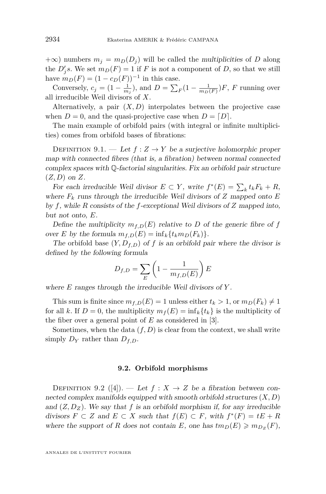$+\infty$ ) numbers  $m_j = m_D(D_j)$  will be called the multiplicities of *D* along the  $D'_j$ s. We set  $m_D(F) = 1$  if *F* is not a component of *D*, so that we still have  $m_D(F) = (1 - c_D(F))^{-1}$  in this case.

Conversely,  $c_j = (1 - \frac{1}{m_j})$ , and  $D = \sum_F (1 - \frac{1}{m_D(F)})F$ , *F* running over all irreducible Weil divisors of *X*.

Alternatively, a pair  $(X, D)$  interpolates between the projective case when  $D = 0$ , and the quasi-projective case when  $D = [D]$ .

The main example of orbifold pairs (with integral or infinite multiplicities) comes from orbifold bases of fibrations:

DEFINITION 9.1. — Let  $f: Z \to Y$  be a surjective holomorphic proper map with connected fibres (that is, a fibration) between normal connected complex spaces with  $\mathbb Q$ -factorial singularities. Fix an orbifold pair structure (*Z, D*) on *Z*.

For each irreducible Weil divisor  $E \subset Y$ , write  $f^*(E) = \sum_k t_k F_k + R$ , where  $F_k$  runs through the irreducible Weil divisors of  $Z$  mapped onto  $E$ by *f*, while *R* consists of the *f*-exceptional Weil divisors of *Z* mapped into, but not onto, *E*.

Define the multiplicity  $m_{f,D}(E)$  relative to *D* of the generic fibre of *f* over *E* by the formula  $m_{f,D}(E) = \inf_k \{t_k m_D(F_k)\}.$ 

The orbifold base  $(Y, D_{f,D})$  of f is an orbifold pair where the divisor is defined by the following formula

$$
D_{f,D} = \sum_{E} \left( 1 - \frac{1}{m_{f,D}(E)} \right) E
$$

where *E* ranges through the irreducible Weil divisors of *Y* .

This sum is finite since  $m_{f,D}(E) = 1$  unless either  $t_k > 1$ , or  $m_D(F_k) \neq 1$ for all *k*. If  $D = 0$ , the multiplicity  $m_f(E) = \inf_k \{t_k\}$  is the multiplicity of the fiber over a general point of *E* as considered in [\[3\]](#page-27-17).

Sometimes, when the data  $(f, D)$  is clear from the context, we shall write simply  $D_Y$  rather than  $D_{f,D}$ .

#### **9.2. Orbifold morphisms**

<span id="page-12-0"></span>DEFINITION 9.2 ([\[4\]](#page-27-3)). — Let  $f: X \rightarrow Z$  be a fibration between connected complex manifolds equipped with smooth orbifold structures (*X, D*) and  $(Z, D_Z)$ . We say that f is an orbifold morphism if, for any irreducible divisors  $F \subset Z$  and  $E \subset X$  such that  $f(E) \subset F$ , with  $f^*(F) = tE + R$ where the support of *R* does not contain *E*, one has  $tm_D(E) \geq m_{D_Z}(F)$ ,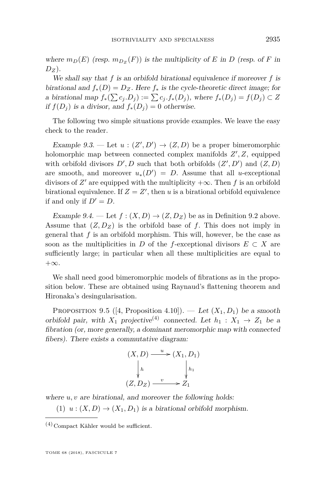where  $m_D(E)$  (resp.  $m_{D_Z}(F)$ ) is the multiplicity of *E* in *D* (resp. of *F* in  $D_Z$ ).

We shall say that *f* is an orbifold birational equivalence if moreover *f* is birational and  $f_*(D) = D_Z$ . Here  $f_*$  is the cycle-theoretic direct image; for a birational map  $f_*(\sum c_j.D_j) := \sum c_j.f_*(D_j)$ , where  $f_*(D_j) = f(D_j) \subset Z$ if  $f(D_i)$  is a divisor, and  $f_*(D_i) = 0$  otherwise.

The following two simple situations provide examples. We leave the easy check to the reader.

Example 9.3. — Let  $u:(Z',D') \to (Z,D)$  be a proper bimeromorphic holomorphic map between connected complex manifolds  $Z', Z$ , equipped with orbifold divisors  $D', D$  such that both orbifolds  $(Z', D')$  and  $(Z, D)$ are smooth, and moreover  $u_*(D') = D$ . Assume that all *u*-exceptional divisors of  $Z'$  are equipped with the multiplicity  $+\infty$ . Then f is an orbifold birational equivalence. If  $Z = Z'$ , then *u* is a birational orbifold equivalence if and only if  $D' = D$ .

Example 9.4. — Let  $f : (X, D) \to (Z, D_Z)$  be as in Definition [9.2](#page-12-0) above. Assume that  $(Z, D_Z)$  is the orbifold base of f. This does not imply in general that *f* is an orbifold morphism. This will, however, be the case as soon as the multiplicities in *D* of the *f*-exceptional divisors  $E \subset X$  are sufficiently large; in particular when all these multiplicities are equal to  $+\infty$ .

We shall need good bimeromorphic models of fibrations as in the proposition below. These are obtained using Raynaud's flattening theorem and Hironaka's desingularisation.

<span id="page-13-0"></span>PROPOSITION 9.5 ([\[4,](#page-27-3) Proposition 4.10]). — Let  $(X_1, D_1)$  be a smooth orbifold pair, with  $X_1$  projective<sup>(4)</sup> connected. Let  $h_1 : X_1 \rightarrow Z_1$  be a fibration (or, more generally, a dominant meromorphic map with connected fibers). There exists a commutative diagram:

$$
(X, D) \xrightarrow{u} (X_1, D_1)
$$
  
\n
$$
\downarrow h \qquad \qquad \downarrow h_1
$$
  
\n
$$
(Z, D_Z) \xrightarrow{v} Z_1
$$

where  $u, v$  are birational, and moreover the following holds:

(1)  $u:(X, D) \to (X_1, D_1)$  is a birational orbifold morphism.

 $(4)$ Compact Kähler would be sufficient.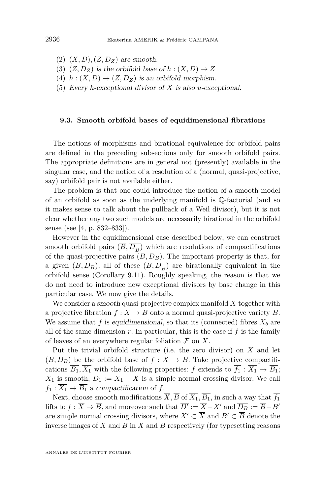- $(2)$   $(X, D), (Z, D_Z)$  are smooth.
- (3)  $(Z, D_Z)$  is the orbifold base of  $h : (X, D) \to Z$
- (4)  $h: (X, D) \rightarrow (Z, D_Z)$  is an orbifold morphism.
- (5) Every *h*-exceptional divisor of *X* is also *u*-exceptional.

#### **9.3. Smooth orbifold bases of equidimensional fibrations**

The notions of morphisms and birational equivalence for orbifold pairs are defined in the preceding subsections only for smooth orbifold pairs. The appropriate definitions are in general not (presently) available in the singular case, and the notion of a resolution of a (normal, quasi-projective, say) orbifold pair is not available either.

The problem is that one could introduce the notion of a smooth model of an orbifold as soon as the underlying manifold is Q-factorial (and so it makes sense to talk about the pullback of a Weil divisor), but it is not clear whether any two such models are necessarily birational in the orbifold sense (see [\[4,](#page-27-3) p. 832–833]).

However in the equidimensional case described below, we can construct smooth orbifold pairs  $(B, D_{\overline{B}})$  which are resolutions of compactifications of the quasi-projective pairs  $(B, D_B)$ . The important property is that, for a given  $(B, D_B)$ , all of these  $(B, D_{\overline{B}})$  are birationally equivalent in the orbifold sense (Corollary [9.11\)](#page-17-0). Roughly speaking, the reason is that we do not need to introduce new exceptional divisors by base change in this particular case. We now give the details.

We consider a smooth quasi-projective complex manifold *X* together with a projective fibration  $f: X \to B$  onto a normal quasi-projective variety *B*. We assume that  $f$  is equidimensional, so that its (connected) fibres  $X_b$  are all of the same dimension  $r$ . In particular, this is the case if  $f$  is the family of leaves of an everywhere regular foliation  $\mathcal F$  on  $X$ .

Put the trivial orbifold structure (i.e. the zero divisor) on *X* and let  $(B, D_B)$  be the orbifold base of  $f : X \to B$ . Take projective compactifications  $\overline{B_1}, \overline{X_1}$  with the following properties: *f* extends to  $f_1 : \overline{X_1} \to \overline{B_1}$ ;  $\overline{X_1}$  is smooth;  $\overline{D_1} := \overline{X_1} - X$  is a simple normal crossing divisor. We call  $\overline{f_1}$  :  $\overline{X_1}$   $\rightarrow$   $\overline{B_1}$  a compactification of *f*.

Next, choose smooth modifications  $\overline{X}$ ,  $\overline{B}$  of  $\overline{X_1}$ ,  $\overline{B_1}$ , in such a way that  $\overline{f_1}$ lifts to  $\overline{f}$  :  $\overline{X} \to \overline{B}$ , and moreover such that  $\overline{D'} := \overline{X} - X'$  and  $\overline{D_B} := \overline{B} - B'$ are simple normal crossing divisors, where  $X' \subset \overline{X}$  and  $B' \subset \overline{B}$  denote the inverse images of X and B in  $\overline{X}$  and  $\overline{B}$  respectively (for typesetting reasons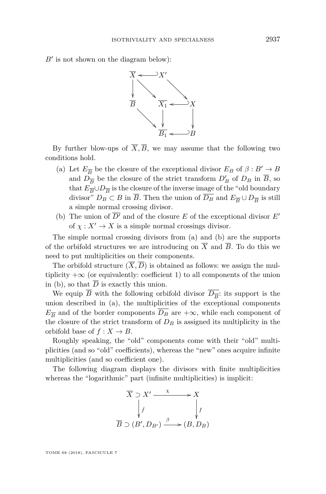$B'$  is not shown on the diagram below):



By further blow-ups of  $\overline{X}, \overline{B}$ , we may assume that the following two conditions hold.

- <span id="page-15-0"></span>(a) Let  $E_{\overline{B}}$  be the closure of the exceptional divisor  $E_B$  of  $\beta: B' \rightarrow B$ and  $D_{\overline{B}}$  be the closure of the strict transform  $D'_B$  of  $D_B$  in  $\overline{B}$ , so that  $E_{\overline{B}} \cup D_{\overline{B}}$  is the closure of the inverse image of the "old boundary" divisor"  $D_B \subset B$  in *B*. Then the union of  $D_B$  and  $E_{\overline{B}} \cup D_{\overline{B}}$  is still a simple normal crossing divisor.
- <span id="page-15-1"></span>(b) The union of  $\overline{D'}$  and of the closure *E* of the exceptional divisor *E'* of  $\chi: X' \to X$  is a simple normal crossings divisor.

The simple normal crossing divisors from [\(a\)](#page-15-0) and [\(b\)](#page-15-1) are the supports of the orbifold structures we are introducing on  $\overline{X}$  and  $\overline{B}$ . To do this we need to put multiplicities on their components.

The orbifold structure  $(\overline{X}, \overline{D})$  is obtained as follows: we assign the multiplicity  $+\infty$  (or equivalently: coefficient 1) to all components of the union in [\(b\)](#page-15-1), so that  $\overline{D}$  is exactly this union.

We equip *B* with the following orbifold divisor  $D_{\overline{B}}$ : its support is the union described in [\(a\)](#page-15-0), the multiplicities of the exceptional components  $E_{\overline{B}}$  and of the border components  $D_B$  are  $+\infty$ , while each component of the closure of the strict transform of  $D_B$  is assigned its multiplicity in the orbifold base of  $f: X \to B$ .

Roughly speaking, the "old" components come with their "old" multiplicities (and so "old" coefficients), whereas the "new" ones acquire infinite multiplicities (and so coefficient one).

The following diagram displays the divisors with finite multiplicities whereas the "logarithmic" part (infinite multiplicities) is implicit:



TOME 68 (2018), FASCICULE 7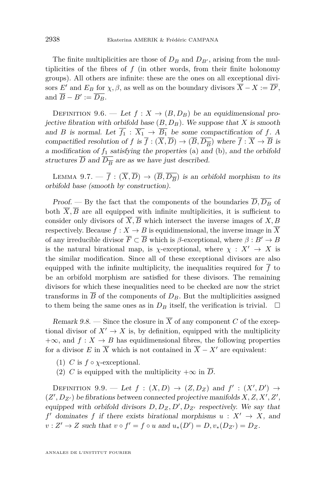The finite multiplicities are those of  $D_B$  and  $D_{B}$ , arising from the multiplicities of the fibres of  $f$  (in other words, from their finite holonomy groups). All others are infinite: these are the ones on all exceptional divisors *E'* and *E<sub>B</sub>* for  $\chi$ ,  $\beta$ , as well as on the boundary divisors  $\overline{X} - X := \overline{D'}$ , and  $\overline{B} - B' := \overline{D_B}.$ 

<span id="page-16-1"></span>DEFINITION 9.6. — Let  $f: X \rightarrow (B, D_B)$  be an equidimensional projective fibration with orbifold base  $(B, D_B)$ . We suppose that *X* is smooth and *B* is normal. Let  $\overline{f_1}$  :  $\overline{X_1} \rightarrow \overline{B_1}$  be some compactification of *f*. A compactified resolution of *f* is  $f : (X, D) \to (B, D_{\overline{B}})$  where  $f : X \to B$  is a modification of *f*<sup>1</sup> satisfying the properties [\(a\)](#page-15-0) and [\(b\)](#page-15-1), and the orbifold structures  $D$  and  $D_{\overline{B}}$  are as we have just described.

LEMMA 9.7.  $\overline{f}: (\overline{X}, \overline{D}) \to (\overline{B}, \overline{D_{\overline{B}}})$  is an orbifold morphism to its orbifold base (smooth by construction).

*Proof.* — By the fact that the components of the boundaries  $\overline{D}, \overline{D_B}$  of both  $\overline{X}, \overline{B}$  are all equipped with infinite multiplicities, it is sufficient to consider only divisors of  $\overline{X}$ ,  $\overline{B}$  which intersect the inverse images of *X*, *B* respectively. Because  $f: X \to B$  is equidimensional, the inverse image in  $\overline{X}$ of any irreducible divisor  $\overline{F} \subset \overline{B}$  which is *β*-exceptional, where  $\beta : B' \to B$ is the natural birational map, is *χ*-exceptional, where  $\chi : X' \to X$  is the similar modification. Since all of these exceptional divisors are also equipped with the infinite multiplicity, the inequalities required for  $\overline{f}$  to be an orbifold morphism are satisfied for these divisors. The remaining divisors for which these inequalities need to be checked are now the strict transforms in  $\overline{B}$  of the components of  $D_B$ . But the multiplicities assigned to them being the same ones as in  $D_B$  itself, the verification is trivial.  $\Box$ 

<span id="page-16-0"></span>Remark 9.8. — Since the closure in  $\overline{X}$  of any component *C* of the exceptional divisor of  $X' \to X$  is, by definition, equipped with the multiplicity  $+\infty$ , and  $f: X \to B$  has equidimensional fibres, the following properties for a divisor *E* in  $\overline{X}$  which is not contained in  $\overline{X} - X'$  are equivalent:

- (1) *C* is  $f \circ \chi$ -exceptional.
- (2) *C* is equipped with the multiplicity  $+\infty$  in  $\overline{D}$ .

DEFINITION 9.9. — Let  $f : (X, D) \rightarrow (Z, D_Z)$  and  $f' : (X', D') \rightarrow$  $(Z', D_{Z'})$  be fibrations between connected projective manifolds  $X, Z, X', Z',$ equipped with orbifold divisors  $D, D_Z, D', D_{Z'}$  respectively. We say that *f*dominates *f* if there exists birational morphisms  $u : X' \rightarrow X$ , and  $v: Z' \to Z$  such that  $v \circ f' = f \circ u$  and  $u_*(D') = D, v_*(D_{Z'}) = D_Z$ .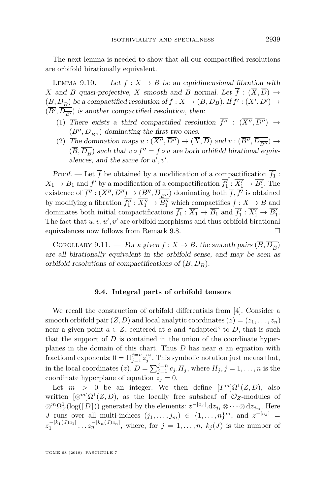The next lemma is needed to show that all our compactified resolutions are orbifold birationally equivalent.

LEMMA 9.10. — Let  $f: X \to B$  be an equidimensional fibration with *X* and *B* quasi-projective, *X* smooth and *B* normal. Let  $\overline{f}$  :  $(\overline{X}, \overline{D}) \rightarrow$  $(\overline{B}, \overline{D_{\overline{B}}})$  be a compactified resolution of  $f: X \to (B, D_B)$ . If  $\overline{f'}: (\overline{X'}, \overline{D'}) \to$  $(\overline{B'}, \overline{D_{\overline{B'}}})$  is another compactified resolution, then:

- (1) There exists a third compactified resolution  $\overline{f''}$  :  $(\overline{X''}, \overline{D''}) \rightarrow$  $(B'', D_{\overline{B''}})$  dominating the first two ones.
- (2) The domination maps  $u : (X'', D'') \to (X, D)$  and  $v : (B'', D_{\overline{B''}}) \to (X, D'')$  $(\overline{B}, \overline{D_{\overline{B}}})$  such that  $v \circ f'' = f \circ u$  are both orbifold birational equivalences, and the same for  $u', v'$ .

Proof. — Let  $f$  be obtained by a modification of a compactification  $f_1$ :  $\overline{X_1} \to \overline{B_1}$  and  $\overline{f'}$  by a modification of a compactification  $f'_1 : X'_1 \to B'_1$ . The existence of  $f'' : (X'', D'') \to (B'', D_{\overline{B''}})$  dominating both  $f, f'$  is obtained by modifying a fibration  $\overline{f''_1}$  :  $\overline{X''_1}$   $\rightarrow$   $\overline{B''_1}$  which compactifies  $f: X \rightarrow B$  and dominates both initial compactifications  $\overline{f_1} : \overline{X_1} \to \overline{B_1}$  and  $\overline{f'_1} : \overline{X'_1} \to \overline{B'_1}$ . The fact that  $u, v, u', v'$  are orbifold morphisms and thus orbifold birational equivalences now follows from Remark [9.8.](#page-16-0)  $\Box$ 

<span id="page-17-0"></span>COROLLARY 9.11. — For a given  $f: X \to B$ , the smooth pairs  $(\overline{B}, \overline{D_{\overline{B}}})$ are all birationally equivalent in the orbifold sense, and may be seen as orbifold resolutions of compactifications of (*B, DB*).

#### **9.4. Integral parts of orbifold tensors**

We recall the construction of orbifold differentials from [\[4\]](#page-27-3). Consider a smooth orbifold pair  $(Z, D)$  and local analytic coordinates  $(z) = (z_1, \ldots, z_n)$ near a given point  $a \in Z$ , centered at *a* and "adapted" to *D*, that is such that the support of *D* is contained in the union of the coordinate hyperplanes in the domain of this chart. Thus *D* has near *a* an equation with fractional exponents:  $0 = \prod_{j=1}^{j=n} z_j^{c_j}$ . This symbolic notation just means that, in the local coordinates  $(z)$ ,  $D = \sum_{j=1}^{j=n} c_j H_j$ , where  $H_j$ ,  $j = 1, \ldots, n$  is the coordinate hyperplane of equation  $z_j = 0$ .

Let  $m > 0$  be an integer. We then define  $[T^m] \Omega^1(Z, D)$ , also written  $[\otimes^m] \Omega^1(Z, D)$ , as the locally free subsheaf of  $\mathcal{O}_Z$ -modules of  $\otimes^m \Omega_Z^1(\log([D]))$  generated by the elements:  $z^{-[c_J]}$ .d $z_{j_1} \otimes \cdots \otimes dz_{j_m}$ . Here *J* runs over all multi-indices  $(j_1, \ldots, j_m) \in \{1, \ldots, n\}^m$ , and  $z^{-[c_J]}$  $z_1^{-[k_1(J)c_1]} \dots z_n^{-[k_n(J)c_n]}$ , where, for  $j = 1, \dots, n$ ,  $k_j(J)$  is the number of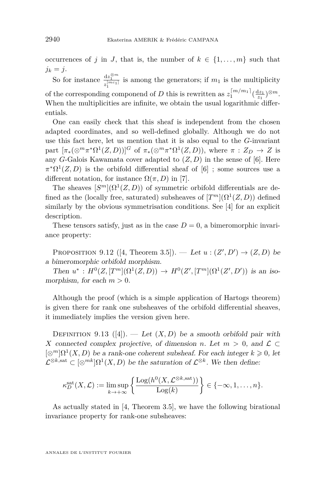occurrences of *j* in *J*, that is, the number of  $k \in \{1, \ldots, m\}$  such that  $j_k = j$ .

So for instance  $\frac{dz_1^{\otimes m}}{z_1^{[mc_1]}}$  is among the generators; if  $m_1$  is the multiplicity of the corresponding componend of *D* this is rewritten as  $z_1^{[m/m_1]}(\frac{dz_1}{z_1})^{\otimes m}$ . When the multiplicities are infinite, we obtain the usual logarithmic differentials.

One can easily check that this sheaf is independent from the chosen adapted coordinates, and so well-defined globally. Although we do not use this fact here, let us mention that it is also equal to the *G*-invariant part  $[\pi_*(\otimes^m \pi^*\Omega^1(Z,D))]^G$  of  $\pi_*(\otimes^m \pi^*\Omega^1(Z,D))$ , where  $\pi: Z_D \to Z$  is any *G*-Galois Kawamata cover adapted to  $(Z, D)$  in the sense of [\[6\]](#page-27-2). Here  $\pi^*\Omega^1(Z,D)$  is the orbifold differential sheaf of [\[6\]](#page-27-2); some sources use a different notation, for instance  $\Omega(\pi, D)$  in [\[7\]](#page-27-7).

The sheaves  $[S^m](\Omega^1(Z, D))$  of symmetric orbifold differentials are defined as the (locally free, saturated) subsheaves of  $[T^m](\Omega^1(Z, D))$  defined similarly by the obvious symmetrisation conditions. See [\[4\]](#page-27-3) for an explicit description.

These tensors satisfy, just as in the case  $D = 0$ , a bimeromorphic invariance property:

PROPOSITION 9.12 ([\[4,](#page-27-3) Theorem 3.5]). — Let  $u: (Z', D') \to (Z, D)$  be a bimeromorphic orbifold morphism.

Then  $u^*: H^0(Z, [T^m](\Omega^1(Z, D)) \to H^0(Z', [T^m](\Omega^1(Z', D'))$  is an isomorphism, for each  $m > 0$ .

Although the proof (which is a simple application of Hartogs theorem) is given there for rank one subsheaves of the orbifold differential sheaves, it immediately implies the version given here.

DEFINITION 9.13 ([\[4\]](#page-27-3)). — Let  $(X, D)$  be a smooth orbifold pair with *X* connected complex projective, of dimension *n*. Let  $m > 0$ , and  $\mathcal{L} \subset$  $[\otimes^m] \Omega^1(X, D)$  be a rank-one coherent subsheaf. For each integer  $k \geq 0$ , let  $\mathcal{L}^{\otimes k, \text{sat}} \subset [\otimes^{mk}] \Omega^1(X, D)$  be the saturation of  $\mathcal{L}^{\otimes k}$ . We then define:

$$
\kappa_D^{\rm sat}(X, \mathcal L) := \limsup_{k \to +\infty} \left\{ \frac{\text{Log}(h^0(X, \mathcal L^{\otimes k, \text{sat}}))}{\text{Log}(k)} \right\} \in \{-\infty, 1, \dots, n\}.
$$

As actually stated in [\[4,](#page-27-3) Theorem 3.5], we have the following birational invariance property for rank-one subsheaves:

ANNALES DE L'INSTITUT FOURIER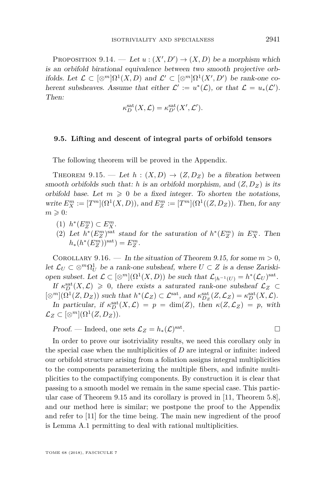PROPOSITION 9.14. — Let  $u:(X', D') \to (X, D)$  be a morphism which is an orbifold birational equivalence between two smooth projective orbifolds. Let  $\mathcal{L} \subset [\otimes^m] \Omega^1(X, D)$  and  $\mathcal{L}' \subset [\otimes^m] \Omega^1(X', D')$  be rank-one coherent subsheaves. Assume that either  $\mathcal{L}' := u^*(\mathcal{L})$ , or that  $\mathcal{L} = u_*(\mathcal{L}')$ . Then:

$$
\kappa_D^{\rm sat}(X,\mathcal L) = \kappa_{D'}^{\rm sat}(X',\mathcal L').
$$

#### **9.5. Lifting and descent of integral parts of orbifold tensors**

The following theorem will be proved in the Appendix.

<span id="page-19-0"></span>THEOREM 9.15. — Let  $h : (X, D) \rightarrow (Z, D_Z)$  be a fibration between smooth orbifolds such that: *h* is an orbifold morphism, and  $(Z, D_Z)$  is its orbifold base. Let  $m \geq 0$  be a fixed integer. To shorten the notations, write  $E_X^m := [T^m](\Omega^1(X, D))$ , and  $E_Z^m := [T^m](\Omega^1((Z, D_Z))$ . Then, for any  $m \geqslant 0$ :

- $(1)$   $h^*(E_Z^m) \subset E_X^m$ .
- (2) Let  $h^*(E_Z^m)$ <sup>sat</sup> stand for the saturation of  $h^*(E_Z^m)$  in  $E_X^m$ . Then  $h_*(h^*(E_Z^m))^{\text{sat}}) = E_Z^m.$

<span id="page-19-1"></span>COROLLARY 9.16. — In the situation of Theorem [9.15,](#page-19-0) for some  $m > 0$ , let  $\mathcal{L}_U \subset \otimes^m \Omega_U^1$  be a rank-one subsheaf, where  $U \subset Z$  is a dense Zariskiopen subset. Let  $\mathcal{L} \subset [\otimes^m](\Omega^1(X, D))$  be such that  $\mathcal{L}_{|h^{-1}(U)} = h^*(\mathcal{L}_U)^{\text{sat}}$ .

If  $\kappa_D^{\text{sat}}(X,\mathcal{L}) \geq 0$ , there exists a saturated rank-one subsheaf  $\mathcal{L}_Z \subset$  $[\otimes^m](\Omega^1(Z, D_Z))$  such that  $h^*(\mathcal{L}_Z) \subset \mathcal{L}^{\text{sat}}$ , and  $\kappa_{D_Z}^{\text{sat}}(Z, \mathcal{L}_Z) = \kappa_D^{\text{sat}}(X, \mathcal{L})$ .

In particular, if  $\kappa_D^{\text{sat}}(X,\mathcal{L}) = p = \dim(Z)$ , then  $\kappa(Z,\mathcal{L}_Z) = p$ , with  $\mathcal{L}_Z \subset [\otimes^m](\Omega^1(Z, D_Z)).$ 

Proof. — Indeed, one sets  $\mathcal{L}_Z = h_*(\mathcal{L})^{\text{sat}}$ . — Первый процесс в серверності процесі в процесі в серверності процесі в серверності процесі в серверності п<br>Процесі в серверності процесі в серверності процесі в серверності процесі в серверності процесі в серверності

In order to prove our isotriviality results, we need this corollary only in the special case when the multiplicities of *D* are integral or infinite: indeed our orbifold structure arising from a foliation assigns integral multiplicities to the components parameterizing the multiple fibers, and infinite multiplicities to the compactifying components. By construction it is clear that passing to a smooth model we remain in the same special case. This particular case of Theorem [9.15](#page-19-0) and its corollary is proved in [\[11,](#page-27-5) Theorem 5.8], and our method here is similar; we postpone the proof to the Appendix and refer to [\[11\]](#page-27-5) for the time being. The main new ingredient of the proof is Lemma [A.1](#page-26-0) permitting to deal with rational multiplicities.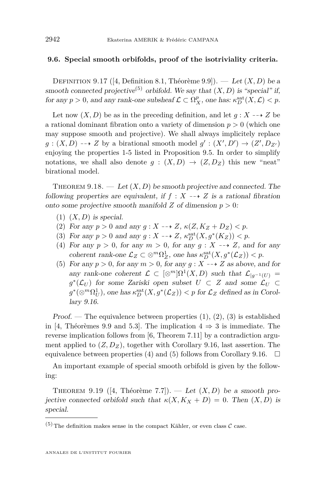#### **9.6. Special smooth orbifolds, proof of the isotriviality criteria.**

DEFINITION 9.17 ([\[4,](#page-27-3) Definition 8.1, Théorème 9.9]). — Let  $(X, D)$  be a smooth connected projective<sup>(5)</sup> orbifold. We say that  $(X, D)$  is "special" if, for any  $p > 0$ , and any rank-one subsheaf  $\mathcal{L} \subset \Omega_X^p$ , one has:  $\kappa_D^{\text{sat}}(X, \mathcal{L}) < p$ .

Let now  $(X, D)$  be as in the preceding definition, and let  $g: X \dashrightarrow Z$  be a rational dominant fibration onto a variety of dimension  $p > 0$  (which one may suppose smooth and projective). We shall always implicitely replace  $g: (X, D) \dashrightarrow Z$  by a birational smooth model  $g': (X', D') \to (Z', D_{Z'})$ enjoying the properties 1-5 listed in Proposition [9.5.](#page-13-0) In order to simplify notations, we shall also denote  $g : (X, D) \rightarrow (Z, D_Z)$  this new "neat" birational model.

<span id="page-20-0"></span>THEOREM  $9.18.$  — Let  $(X, D)$  be smooth projective and connected. The following properties are equivalent, if  $f : X \dashrightarrow Z$  is a rational fibration onto some projective smooth manifold *Z* of dimension *p >* 0:

- <span id="page-20-2"></span> $(1)$   $(X,D)$  is special.
- <span id="page-20-3"></span>(2) For any  $p > 0$  and any  $q: X \dashrightarrow Z$ ,  $\kappa(Z, K_Z + D_Z) < p$ .
- <span id="page-20-4"></span>(3) For any  $p > 0$  and any  $g: X \dashrightarrow Z$ ,  $\kappa_D^{\text{sat}}(X, g^*(K_Z)) < p$ .
- <span id="page-20-5"></span>(4) For any  $p > 0$ , for any  $m > 0$ , for any  $q : X \dashrightarrow Z$ , and for any coherent rank-one  $\mathcal{L}_Z \subset \otimes^m \Omega_Z^1$ , one has  $\kappa_D^{\text{sat}}(X, g^*(\mathcal{L}_Z)) < p$ .
- <span id="page-20-6"></span>(5) For any  $p > 0$ , for any  $m > 0$ , for any  $g: X \longrightarrow Z$  as above, and for any rank-one coherent  $\mathcal{L} \subset [\otimes^m] \Omega^1(X, D)$  such that  $\mathcal{L}_{|g^{-1}(U)} =$ *g*<sup>\*</sup>( $\mathcal{L}_U$ ) for some Zariski open subset *U* ⊂ *Z* and some  $\mathcal{L}_U$  ⊂  $g^*(\otimes^m \Omega_U^1)$ , one has  $\kappa_D^{\text{sat}}(X, g^*(\mathcal{L}_Z)) < p$  for  $\mathcal{L}_Z$  defined as in Corollary [9.16.](#page-19-1)

Proof. — The equivalence between properties  $(1), (2), (3)$  $(1), (2), (3)$  $(1), (2), (3)$  $(1), (2), (3)$  $(1), (2), (3)$  is established in [\[4,](#page-27-3) Théorèmes 9.9 and 5.3]. The implication  $4 \Rightarrow 3$  is immediate. The reverse implication follows from [\[6,](#page-27-2) Theorem 7.11] by a contradiction argument applied to  $(Z, D_Z)$ , together with Corollary [9.16,](#page-19-1) last assertion. The equivalence between properties [\(4\)](#page-20-5) and [\(5\)](#page-20-6) follows from Corollary [9.16.](#page-19-1)  $\Box$ 

An important example of special smooth orbifold is given by the following:

<span id="page-20-1"></span>THEOREM 9.19 ([\[4,](#page-27-3) Théorème 7.7]). — Let  $(X, D)$  be a smooth projective connected orbifold such that  $\kappa(X, K_X + D) = 0$ . Then  $(X, D)$  is special.

<sup>(5)</sup> The definition makes sense in the compact Kähler, or even class  $\mathcal C$  case.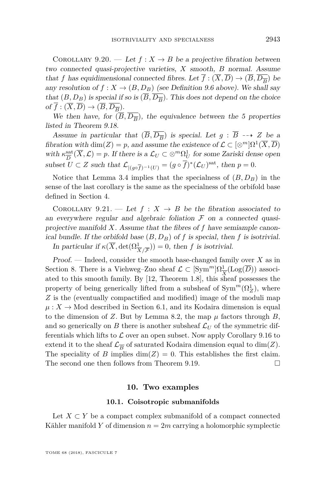<span id="page-21-1"></span>COROLLARY 9.20. — Let  $f: X \to B$  be a projective fibration between two connected quasi-projective varieties, *X* smooth, *B* normal. Assume that *f* has equidimensional connected fibres. Let  $f : (X, D) \to (B, D_{\overline{B}})$  be any resolution of  $f: X \to (B, D_B)$  (see Definition [9.6](#page-16-1) above). We shall say that  $(B, D_B)$  is special if so is  $(B, D_{\overline{B}})$ . This does not depend on the choice of  $f : (X, D) \to (B, D_{\overline{B}}).$ 

We then have, for  $(B, D_{\overline{B}})$ , the equivalence between the 5 properties listed in Theorem [9.18.](#page-20-0)

Assume in particular that  $(\overline{B}, \overline{D_{\overline{B}}})$  is special. Let  $g : \overline{B} \dashrightarrow Z$  be a fibration with  $\dim(Z) = p$ , and assume the existence of  $\mathcal{L} \subset [\otimes^m] \Omega^1(\overline{X}, \overline{D})$ with  $\kappa_{\overline{D}}^{\text{sat}}(\overline{X}, \mathcal{L}) = p$ . If there is a  $\mathcal{L}_U \subset \otimes^m \Omega_U^1$  for some Zariski dense open  $\mathcal{L} \cup \mathcal{L} \cup \mathcal{L}$  is the subset  $U \subset Z$  such that  $\mathcal{L}_{|(g \circ \overline{f})^{-1}(U)} = (g \circ \overline{f})^*(\mathcal{L}_U)^{\text{sat}}$ , then  $p = 0$ .

Notice that Lemma [3.4](#page-6-2) implies that the specialness of  $(B, D_B)$  in the sense of the last corollary is the same as the specialness of the orbifold base defined in Section [4.](#page-6-0)

<span id="page-21-0"></span>COROLLARY 9.21. — Let  $f: X \rightarrow B$  be the fibration associated to an everywhere regular and algebraic foliation  $\mathcal F$  on a connected quasiprojective manifold *X*. Assume that the fibres of *f* have semiample canonical bundle. If the orbifold base  $(B, D_B)$  of  $f$  is special, then  $f$  is isotrivial. In particular if  $\kappa(\overline{X}, \det(\Omega^1_{\overline{X}/\overline{F}})) = 0$ , then *f* is isotrivial.

Proof. — Indeed, consider the smooth base-changed family over *X* as in Section [8.](#page-10-0) There is a Viehweg–Zuo sheaf  $\mathcal{L} \subset [\mathrm{Sym}^m] \Omega^1_{\overline{X}}(\mathrm{Log}(\overline{D}))$  associated to this smooth family. By [\[12,](#page-27-4) Theorem 1.8], this sheaf possesses the property of being generically lifted from a subsheaf of  $\text{Sym}^m(\Omega^1_Z)$ , where *Z* is the (eventually compactified and modified) image of the moduli map  $\mu: X \to \text{Mod}$  described in Section [6.1,](#page-8-0) and its Kodaira dimension is equal to the dimension of *Z*. But by Lemma [8.2,](#page-11-1) the map  $\mu$  factors through *B*, and so generically on *B* there is another subsheaf  $\mathcal{L}_U$  of the symmetric differentials which lifts to  $\mathcal L$  over an open subset. Now apply Corollary [9.16](#page-19-1) to extend it to the sheaf  $\mathcal{L}_{\overline{B}}$  of saturated Kodaira dimension equal to  $\dim(Z)$ . The speciality of *B* implies  $\dim(Z) = 0$ . This establishes the first claim. The second one then follows from Theorem [9.19.](#page-20-1)

#### **10. Two examples**

#### **10.1. Coisotropic submanifolds**

Let  $X \subset Y$  be a compact complex submanifold of a compact connected Kähler manifold *Y* of dimension  $n = 2m$  carrying a holomorphic symplectic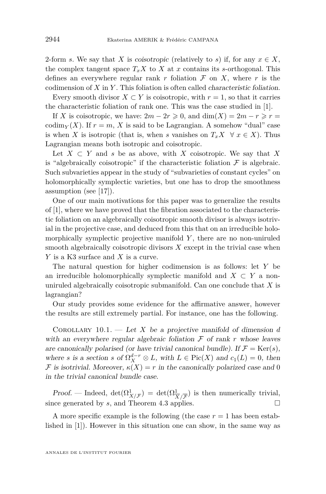2-form *s*. We say that *X* is coisotropic (relatively to *s*) if, for any  $x \in X$ , the complex tangent space  $T_x X$  to  $X$  at  $x$  contains its *s*-orthogonal. This defines an everywhere regular rank  $r$  foliation  $\mathcal F$  on  $X$ , where  $r$  is the codimension of *X* in *Y* . This foliation is often called characteristic foliation.

Every smooth divisor  $X \subset Y$  is coisotropic, with  $r = 1$ , so that it carries the characteristic foliation of rank one. This was the case studied in [\[1\]](#page-27-14).

If *X* is coisotropic, we have:  $2m - 2r \ge 0$ , and  $\dim(X) = 2m - r \ge r =$ codim<sub>*Y*</sub> (*X*). If  $r = m$ , *X* is said to be Lagrangian. A somehow "dual" case is when *X* is isotropic (that is, when *s* vanishes on  $T_xX \ \forall x \in X$ ). Thus Lagrangian means both isotropic and coisotropic.

Let  $X \subset Y$  and *s* be as above, with *X* coisotropic. We say that *X* is "algebraically coisotropic" if the characteristic foliation  $\mathcal F$  is algebraic. Such subvarieties appear in the study of "subvarieties of constant cycles" on holomorphically symplectic varieties, but one has to drop the smoothness assumption (see [\[17\]](#page-27-16)).

One of our main motivations for this paper was to generalize the results of [\[1\]](#page-27-14), where we have proved that the fibration associated to the characteristic foliation on an algebraically coisotropic smooth divisor is always isotrivial in the projective case, and deduced from this that on an irreducible holomorphically symplectic projective manifold Y, there are no non-uniruled smooth algebraically coisotropic divisors *X* except in the trivial case when *Y* is a K3 surface and *X* is a curve.

The natural question for higher codimension is as follows: let *Y* be an irreducible holomorphically symplectic manifold and  $X \subset Y$  a nonuniruled algebraically coisotropic submanifold. Can one conclude that *X* is lagrangian?

Our study provides some evidence for the affirmative answer, however the results are still extremely partial. For instance, one has the following.

COROLLARY  $10.1.$  — Let *X* be a projective manifold of dimension *d* with an everywhere regular algebraic foliation  $\mathcal F$  of rank  $r$  whose leaves are canonically polarised (or have trivial canonical bundle). If  $\mathcal{F} = \text{Ker}(s)$ , where *s* is a section *s* of  $\Omega_X^{d-r} \otimes L$ , with  $L \in Pic(X)$  and  $c_1(L) = 0$ , then F is isotrivial. Moreover,  $\kappa(X) = r$  in the canonically polarized case and 0 in the trivial canonical bundle case.

Proof. — Indeed,  $\det(\Omega^1_{X/\mathcal{F}}) = \det(\Omega^1_{\overline{X}/\mathcal{F}})$  is then numerically trivial, since generated by *s*, and Theorem [4.3](#page-7-2) applies.

A more specific example is the following (the case  $r = 1$  has been established in [\[1\]](#page-27-14)). However in this situation one can show, in the same way as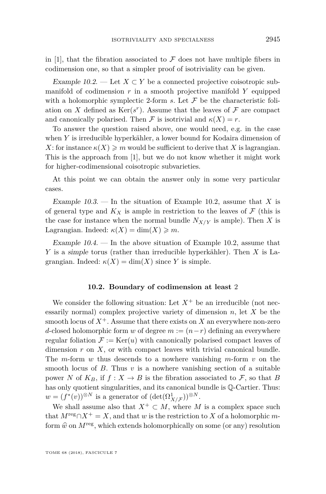in [\[1\]](#page-27-14), that the fibration associated to  $\mathcal F$  does not have multiple fibers in codimension one, so that a simpler proof of isotriviality can be given.

<span id="page-23-0"></span>Example 10.2. — Let  $X \subset Y$  be a connected projective coisotropic submanifold of codimension *r* in a smooth projective manifold *Y* equipped with a holomorphic symplectic 2-form  $s$ . Let  $\mathcal F$  be the characteristic foliation on *X* defined as  $\text{Ker}(s^r)$ . Assume that the leaves of  $\mathcal F$  are compact and canonically polarised. Then F is isotrivial and  $\kappa(X) = r$ .

To answer the question raised above, one would need, e.g. in the case when *Y* is irreducible hyperkähler, a lower bound for Kodaira dimension of *X*: for instance  $\kappa(X) \geqslant m$  would be sufficient to derive that X is lagrangian. This is the approach from [\[1\]](#page-27-14), but we do not know whether it might work for higher-codimensional coisotropic subvarieties.

At this point we can obtain the answer only in some very particular cases.

Example 10.3. — In the situation of Example [10.2,](#page-23-0) assume that *X* is of general type and  $K_X$  is ample in restriction to the leaves of  $\mathcal F$  (this is the case for instance when the normal bundle  $N_{X/Y}$  is ample). Then X is Lagrangian. Indeed:  $\kappa(X) = \dim(X) \geq m$ .

Example  $10.4.$  — In the above situation of Example [10.2,](#page-23-0) assume that *Y* is a simple torus (rather than irreducible hyperkähler). Then *X* is Lagrangian. Indeed:  $\kappa(X) = \dim(X)$  since *Y* is simple.

#### **10.2. Boundary of codimension at least** 2

We consider the following situation: Let  $X^+$  be an irreducible (not necessarily normal) complex projective variety of dimension *n*, let *X* be the smooth locus of  $X^+$ . Assume that there exists on  $X$  an everywhere non-zero *d*-closed holomorphic form *w* of degree  $m := (n - r)$  defining an everywhere regular foliation  $\mathcal{F} := \text{Ker}(u)$  with canonically polarised compact leaves of dimension *r* on *X*, or with compact leaves with trivial canonical bundle. The *m*-form *w* thus descends to a nowhere vanishing *m*-form *v* on the smooth locus of *B*. Thus *v* is a nowhere vanishing section of a suitable power *N* of  $K_B$ , if  $f: X \to B$  is the fibration associated to F, so that B has only quotient singularities, and its canonical bundle is Q-Cartier. Thus:  $w = (f^*(v))^{\otimes N}$  is a generator of  $(\det(\Omega^1_{X/{\mathcal{F}}}))^{\otimes N}$ .

We shall assume also that  $X^+ \subset M$ , where *M* is a complex space such that  $M^{\text{reg}} \cap X^+ = X$ , and that *w* is the restriction to *X* of a holomorphic *m*form  $\hat{w}$  on  $M^{\text{reg}}$ , which extends holomorphically on some (or any) resolution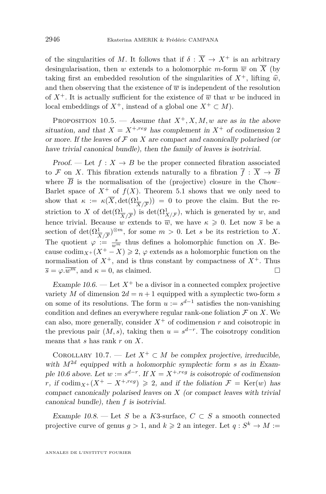of the singularities of *M*. It follows that if  $\delta : \overline{X} \to X^+$  is an arbitrary desingularisation, then *w* extends to a holomorphic *m*-form  $\overline{w}$  on  $\overline{X}$  (by taking first an embedded resolution of the singularities of  $X^+$ , lifting  $\hat{w}$ , and then observing that the existence of  $\overline{w}$  is independent of the resolution of  $X^+$ . It is actually sufficient for the existence of  $\overline{w}$  that *w* be induced in local embeddings of  $X^+$ , instead of a global one  $X^+ \subset M$ ).

PROPOSITION 10.5. — Assume that  $X^+$ , X, M, w are as in the above situation, and that  $X = X^{+,reg}$  has complement in  $X^+$  of codimension 2 or more. If the leaves of  $\mathcal F$  on  $X$  are compact and canonically polarised (or have trivial canonical bundle), then the family of leaves is isotrivial.

Proof. — Let  $f: X \to B$  be the proper connected fibration associated to F on X. This fibration extends naturally to a fibration  $\overline{f}: \overline{X} \to \overline{B}$ where  $\overline{B}$  is the normalisation of the (projective) closure in the Chow– Barlet space of  $X^+$  of  $f(X)$ . Theorem [5.1](#page-7-0) shows that we only need to show that  $\kappa := \kappa(\overline{X}, \det(\Omega^1_{\overline{X}/\overline{\mathcal{F}}})) = 0$  to prove the claim. But the restriction to *X* of  $\det(\Omega^1_{\overline{X}/\overline{F}})$  is  $\det(\Omega^1_{X/F})$ , which is generated by *w*, and hence trivial. Because *w* extends to  $\overline{w}$ , we have  $\kappa \geq 0$ . Let now  $\overline{s}$  be a section of  $\det(\Omega^1_{\overline{X}/\overline{F}})^{\otimes m}$ , for some  $m > 0$ . Let *s* be its restriction to *X*. The quotient  $\varphi := \frac{s}{w^m}$  thus defines a holomorphic function on *X*. Because  $\operatorname{codim}_{X^+}(X^+ - X) \geq 2$ ,  $\varphi$  extends as a holomorphic function on the normalisation of  $X^+$ , and is thus constant by compactness of  $X^+$ . Thus  $\overline{s} = \varphi \cdot \overline{w^m}$ , and  $\kappa = 0$ , as claimed.

<span id="page-24-0"></span>Example 10.6. — Let  $X^+$  be a divisor in a connected complex projective variety *M* of dimension  $2d = n + 1$  equipped with a symplectic two-form *s* on some of its resolutions. The form  $u := s^{d-1}$  satisfies the non-vanishing condition and defines an everywhere regular rank-one foliation  $\mathcal F$  on  $X$ . We can also, more generally, consider  $X^+$  of codimension  $r$  and coisotropic in the previous pair  $(M, s)$ , taking then  $u = s^{d-r}$ . The coisotropy condition means that *s* has rank *r* on *X*.

COROLLARY 10.7. — Let  $X^+ \subset M$  be complex projective, irreducible, with  $M^{2d}$  equipped with a holomorphic symplectic form *s* as in Exam-ple [10.6](#page-24-0) above. Let  $w := s^{d-r}$ . If  $X = X^{+,reg}$  is coisotropic of codimension *r*, if codim<sub>*X*+</sub>( $X^+ - X^{+,reg}$ )  $\ge 2$ , and if the foliation  $\mathcal{F} = \text{Ker}(w)$  has compact canonically polarised leaves on *X* (or compact leaves with trivial canonical bundle), then *f* is isotrivial.

Example 10.8. — Let *S* be a *K*3-surface,  $C \subset S$  a smooth connected projective curve of genus  $g > 1$ , and  $k \ge 2$  an integer. Let  $q : S^k \to M :=$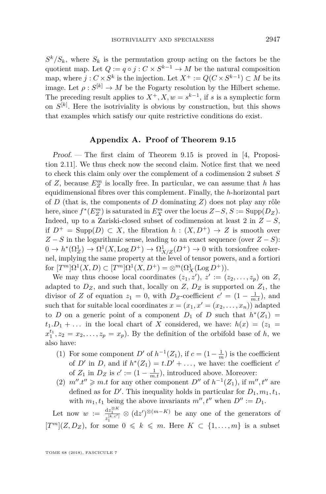$S^k/S_k$ , where  $S_k$  is the permutation group acting on the factors be the quotient map. Let  $Q := q \circ j : C \times S^{k-1} \to M$  be the natural composition map, where  $j: C \times S^k$  is the injection. Let  $X^+ := Q(C \times S^{k-1}) \subset M$  be its image. Let  $\rho: S^{[k]} \to M$  be the Fogarty resolution by the Hilbert scheme. The preceding result applies to  $X^+, X, w = s^{k-1}$ , if *s* is a symplectic form on  $S^{[k]}$ . Here the isotriviality is obvious by construction, but this shows that examples which satisfy our quite restrictive conditions do exist.

#### **Appendix A. Proof of Theorem [9.15](#page-19-0)**

Proof. — The first claim of Theorem [9.15](#page-19-0) is proved in [\[4,](#page-27-3) Proposition 2.11]. We thus check now the second claim. Notice first that we need to check this claim only over the complement of a codimension 2 subset *S* of  $Z$ , because  $E_Z^m$  is locally free. In particular, we can assume that  $h$  has equidimensional fibres over this complement. Finally, the *h*-horizontal part of *D* (that is, the components of *D* dominating *Z*) does not play any rôle here, since  $f^*(E_Z^m)$  is saturated in  $E_X^m$  over the locus  $Z-S$ ,  $S := \text{Supp}(D_Z)$ . Indeed, up to a Zariski-closed subset of codimension at least 2 in  $Z - S$ , if  $D^+ = \text{Supp}(D) \subset X$ , the fibration  $h : (X, D^+) \to Z$  is smooth over  $Z - S$  in the logarithmic sense, leading to an exact sequence (over  $Z - S$ ):  $0 \to h^*(\Omega_Z^1) \to \Omega^1(X, \text{Log } D^+) \to \Omega_{X/Z}^1(D^+) \to 0$  with torsionfree cokernel, implying the same property at the level of tensor powers, and a fortiori for  $[T^m] \Omega^1(X, D) \subset [T^m] \Omega^1(X, D^+) = \otimes^m (\Omega^1_X(\text{Log } D^+)).$ 

We may thus choose local coordinates  $(z_1, z')$ ,  $z' := (z_2, \ldots, z_p)$  on *Z*, adapted to  $D_Z$ , and such that, locally on  $Z$ ,  $D_Z$  is supported on  $Z_1$ , the divisor of *Z* of equation  $z_1 = 0$ , with  $D_Z$ -coefficient  $c' = (1 - \frac{1}{m \cdot t})$ , and such that for suitable local coordinates  $x = (x_1, x' = (x_2, \ldots, x_n))$  adapted to *D* on a generic point of a component  $D_1$  of *D* such that  $h^*(Z_1) =$  $t_1.D_1 + \ldots$  in the local chart of *X* considered, we have:  $h(x) = (z_1 =$  $x_1^{t_1}, z_2 = x_2, \ldots, z_p = x_p$ . By the definition of the orbifold base of *h*, we also have:

- (1) For some component *D'* of  $h^{-1}(Z_1)$ , if  $c = (1 \frac{1}{m})$  is the coefficient of *D'* in *D*, and if  $h^*(Z_1) = t \cdot D' + \ldots$ , we have: the coefficient *c'* of  $Z_1$  in  $D_Z$  is  $c' := (1 - \frac{1}{m.t}),$  introduced above. Moreover:
- (2)  $m''$  *t*<sup> $''$ </sup>  $\geq m$  *t* for any other component *D*<sup> $''$ </sup> of  $h^{-1}(Z_1)$ , if  $m''$ ,  $t''$  are defined as for  $D'$ . This inequality holds in particular for  $D_1, m_1, t_1$ , with  $m_1, t_1$  being the above invariants  $m''$ ,  $t''$  when  $D'' := D_1$ .

Let now  $w := \frac{dz_1^{\otimes K}}{z_1^{[k.c']}} \otimes (dz')^{\otimes (m-K)}$  be any one of the generators of  $[T^m](Z, D_Z)$ , for some  $0 \leq k \leq m$ . Here  $K \subset \{1, \ldots, m\}$  is a subset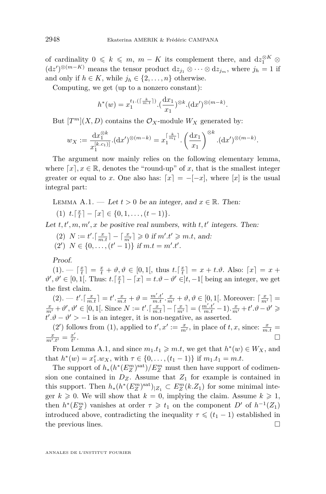of cardinality  $0 \leq k \leq m$ ,  $m - K$  its complement there, and  $dz_1^{\otimes K} \otimes$  $(\mathrm{d}z')$ <sup>⊗(*m*−*K*) means the tensor product  $\mathrm{d}z_{j_1} \otimes \cdots \otimes \mathrm{d}z_{j_m}$ , where  $j_h = 1$  if</sup> and only if  $h \in K$ , while  $j_h \in \{2, \ldots, n\}$  otherwise.

Computing, we get (up to a nonzero constant):

$$
h^*(w) = x_1^{t_1.(\lceil \frac{k}{m \cdot t} \rceil)} \cdot (\frac{\mathrm{d}x_1}{x_1})^{\otimes k} \cdot (\mathrm{d}x')^{\otimes (m-k)}.
$$

But  $[T^m](X, D)$  contains the  $\mathcal{O}_X$ -module  $W_X$  generated by:

$$
w_X := \frac{\mathrm{d}x_1^{\otimes k}}{x_1^{[k.c_1]}} \cdot (\mathrm{d}x')^{\otimes (m-k)} = x_1^{\lceil \frac{k}{m_1} \rceil} \cdot \left(\frac{\mathrm{d}x_1}{x_1}\right)^{\otimes k} \cdot (\mathrm{d}x')^{\otimes (m-k)}.
$$

The argument now mainly relies on the following elementary lemma, where  $[x]$ ,  $x \in \mathbb{R}$ , denotes the "round-up" of *x*, that is the smallest integer greater or equal to *x*. One also has:  $[x] = -[-x]$ , where  $[x]$  is the usual integral part:

<span id="page-26-0"></span>LEMMA A.1. — Let  $t > 0$  be an integer, and  $x \in \mathbb{R}$ . Then:

<span id="page-26-1"></span>(1)  $t \cdot \lceil \frac{x}{t} \rceil - \lceil x \rceil \in \{0, 1, \ldots, (t-1)\}.$ 

<span id="page-26-2"></span>Let  $t, t', m, m', x$  be positive real numbers, with  $t, t'$  integers. Then:

- $(2)$   $N := t'.\lceil \frac{x}{m \cdot t} \rceil \lceil \frac{x}{m'} \rceil \geq 0$  if  $m'.t' \geq m.t$ , and:
- <span id="page-26-3"></span> $(2')$   $N \in \{0, \ldots, (t'-1)\}$  if  $m.t = m'.t'.$

Proof.

 $(1). - \lceil \frac{x}{t} \rceil = \frac{x}{t} + \vartheta, \vartheta \in [0, 1[, \text{ thus } t.\lceil \frac{x}{t} \rceil = x + t.\vartheta. \text{ Also: } \lceil x \rceil = x +$  $(1). - \lceil \frac{x}{t} \rceil = \frac{x}{t} + \vartheta, \vartheta \in [0, 1[, \text{ thus } t.\lceil \frac{x}{t} \rceil = x + t.\vartheta. \text{ Also: } \lceil x \rceil = x +$  $\vartheta', \vartheta' \in [0, 1[$ . Thus:  $t \cdot \lceil \frac{x}{t} \rceil - \lceil x \rceil = t \cdot \vartheta - \vartheta' \in ]t, -1[$  being an integer, we get the first claim.

[\(2\)](#page-26-2).  $-t'.\lceil \frac{x}{m.t} \rceil = t'.\frac{x}{m.t} + \vartheta = \frac{m'.t'}{m.t} \cdot \frac{x}{m'} + \vartheta, \vartheta \in [0, 1[$ . Moreover:  $\lceil \frac{x}{m'} \rceil = \frac{x}{m'} + \vartheta', \vartheta' \in [0, 1[$ . Since  $N := t'.\lceil \frac{x}{m.t} \rceil - \lceil \frac{x}{m'} \rceil = (\frac{m'.t'}{m.t} - 1).\frac{x}{m'} + t'.\vartheta - \vartheta' \ge$  $t' \cdot \vartheta - \vartheta' > -1$  is an integer, it is non-negative, as asserted.

[\(2](#page-26-3)') follows from [\(1\)](#page-26-1), applied to  $t'$ ,  $x' := \frac{x}{m'}$ , in place of  $t, x$ , since:  $\frac{x}{m \cdot t} =$  $\frac{x}{m'.t'} = \frac{x'}{t'}$ t<sup> $\prime$ </sup> .

From Lemma [A.1,](#page-26-0) and since  $m_1.t_1 \geq m.t$ , we get that  $h^*(w) \in W_X$ , and that  $h^*(w) = x_1^{\tau} \cdot w_X$ , with  $\tau \in \{0, \ldots, (t_1 - 1)\}$  if  $m_1 \cdot t_1 = m \cdot t$ .

The support of  $h_*(h^*(E_Z^m)^{sat})/E_Z^m$  must then have support of codimension one contained in  $D_Z$ . Assume that  $Z_1$  for example is contained in this support. Then  $h_*(h^*(E_Z^m)^{\text{sat}})|_{Z_1} \subset E_Z^m(k.Z_1)$  for some minimal integer  $k \geq 0$ . We will show that  $k = 0$ , implying the claim. Assume  $k \geq 1$ , then  $h^*(E_2^m)$  vanishes at order  $\tau \geq t_1$  on the component  $D'$  of  $h^{-1}(Z_1)$ introduced above, contradicting the inequality  $\tau \leq (t_1 - 1)$  established in the previous lines.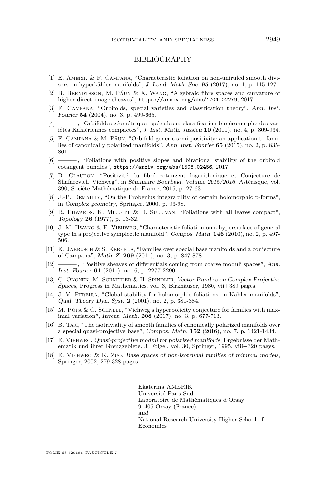#### BIBLIOGRAPHY

- <span id="page-27-14"></span>[1] E. AMERIK & F. CAMPANA, "Characteristic foliation on non-uniruled smooth divisors on hyperkähler manifolds", J. Lond. Math. Soc. **95** (2017), no. 1, p. 115-127.
- <span id="page-27-9"></span>[2] B. BERNDTSSON, M. PAUN & X. WANG, "Algebraic fibre spaces and curvature of higher direct image sheaves", <https://arxiv.org/abs/1704.02279>, 2017.
- <span id="page-27-17"></span>[3] F. Campana, "Orbifolds, special varieties and classification theory", Ann. Inst. Fourier **54** (2004), no. 3, p. 499-665.
- <span id="page-27-3"></span>[4] ——— , "Orbifoldes géométriques spéciales et classification biméromorphe des variétés Kählériennes compactes", J. Inst. Math. Jussieu **10** (2011), no. 4, p. 809-934.
- <span id="page-27-1"></span>[5] F. Campana & M. Păun, "Orbifold generic semi-positivity: an application to families of canonically polarized manifolds", Ann. Inst. Fourier **65** (2015), no. 2, p. 835- 861.
- <span id="page-27-2"></span>[6] ——— , "Foliations with positive slopes and birational stability of the orbifold cotangent bundles", <https://arxiv.org/abs/1508.02456>, 2017.
- <span id="page-27-7"></span>[7] B. Claudon, "Positivité du fibré cotangent logarithmique et Conjecture de Shafarevich–Viehweg", in Séminaire Bourbaki. Volume 2015/2016, Astérisque, vol. 390, Société Mathématique de France, 2015, p. 27-63.
- <span id="page-27-10"></span>[8] J.-P. Demailly, "On the Frobenius integrability of certain holomorphic p-forms", in Complex geometry, Springer, 2000, p. 93-98.
- <span id="page-27-11"></span>[9] R. EDWARDS, K. MILLETT & D. SULLIVAN, "Foliations with all leaves compact", Topology **26** (1977), p. 13-32.
- <span id="page-27-13"></span>[10] J.-M. Hwang & E. Viehweg, "Characteristic foliation on a hypersurface of general type in a projective symplectic manifold", Compos. Math. **146** (2010), no. 2, p. 497- 506.
- <span id="page-27-5"></span>[11] K. JABBUSCH  $&$  S. KEBEKUS, "Families over special base manifolds and a conjecture of Campana", Math. Z. **269** (2011), no. 3, p. 847-878.
- <span id="page-27-4"></span>[12] ——— , "Positive sheaves of differentials coming from coarse moduli spaces", Ann. Inst. Fourier **61** (2011), no. 6, p. 2277-2290.
- <span id="page-27-15"></span>[13] C. OKONEK, M. SCHNEIDER & H. SPINDLER, Vector Bundles on Complex Projective Spaces, Progress in Mathematics, vol. 3, Birkhäuser, 1980, vii+389 pages.
- <span id="page-27-12"></span>[14] J. V. PEREIRA, "Global stability for holomorphic foliations on Kähler manifolds", Qual. Theory Dyn. Syst. **2** (2001), no. 2, p. 381-384.
- <span id="page-27-8"></span>[15] M. POPA & C. SCHNELL, "Viehweg's hyperbolicity conjecture for families with maximal variation", Invent. Math. **208** (2017), no. 3, p. 677-713.
- <span id="page-27-6"></span>[16] B. TAJI, "The isotriviality of smooth families of canonically polarized manifolds over a special quasi-projective base", Compos. Math. **152** (2016), no. 7, p. 1421-1434.
- <span id="page-27-16"></span>[17] E. Viehweg, Quasi-projective moduli for polarized manifolds, Ergebnisse der Mathematik und ihrer Grenzgebiete. 3. Folge., vol. 30, Springer, 1995, viii+320 pages.
- <span id="page-27-0"></span>[18] E. Viehweg & K. Zuo, Base spaces of non-isotrivial families of minimal models, Springer, 2002, 279-328 pages.

Ekaterina AMERIK Université Paris-Sud Laboratoire de Mathématiques d'Orsay 91405 Orsay (France) and National Research University Higher School of Economics